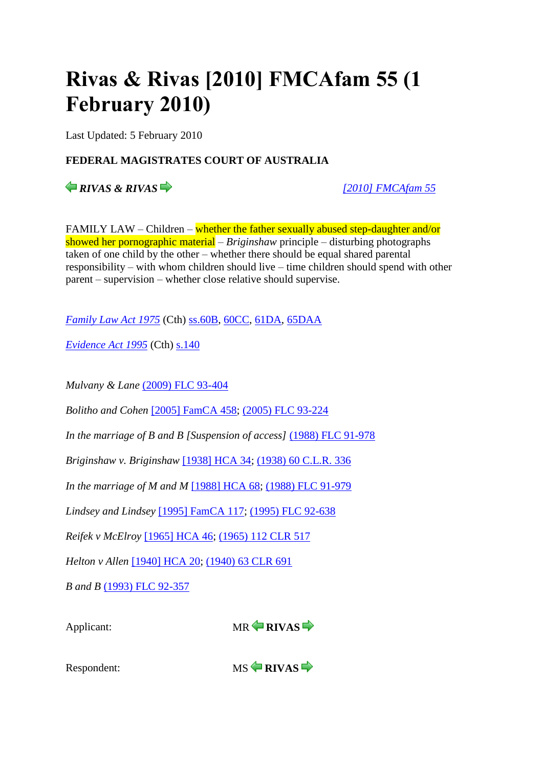# **Rivas & Rivas [2010] FMCAfam 55 (1 February 2010)**

Last Updated: 5 February 2010

# **FEDERAL MAGISTRATES COURT OF AUSTRALIA**

*RIVAS & RIVAS [\[2010\] FMCAfam 55](http://www.austlii.edu.au/cgi-bin/viewdoc/au/cases/cth/FMCAfam/2010/55.html)*

FAMILY LAW – Children – whether the father sexually abused step-daughter and/or showed her pornographic material – *Briginshaw* principle – disturbing photographs taken of one child by the other – whether there should be equal shared parental responsibility – with whom children should live – time children should spend with other parent – supervision – whether close relative should supervise.

*[Family Law Act 1975](http://www.austlii.edu.au/cgi-bin/viewdoc/au/legis/cth/consol_act/fla1975114/)* (Cth) [ss.60B,](http://www.austlii.edu.au/cgi-bin/viewdoc/au/legis/cth/consol_act/fla1975114/s60b.html) [60CC,](http://www.austlii.edu.au/cgi-bin/viewdoc/au/legis/cth/consol_act/fla1975114/s60cc.html) [61DA,](http://www.austlii.edu.au/cgi-bin/viewdoc/au/legis/cth/consol_act/fla1975114/s61da.html) [65DAA](http://www.austlii.edu.au/cgi-bin/viewdoc/au/legis/cth/consol_act/fla1975114/s65daa.html)

*[Evidence Act 1995](http://www.austlii.edu.au/cgi-bin/viewdoc/au/legis/cth/consol_act/ea199580/)* (Cth) [s.140](http://www.austlii.edu.au/cgi-bin/viewdoc/au/legis/cth/consol_act/ea199580/s140.html)

*Mulvany & Lane* [\(2009\) FLC 93-404](http://www.austlii.edu.au/cgi-bin/LawCite?cit=%282009%29%20FLC%2093%2d404)

*Bolitho and Cohen* [\[2005\] FamCA 458;](http://www.austlii.edu.au/cgi-bin/viewdoc/au/cases/cth/FamCA/2005/458.html) [\(2005\) FLC 93-224](http://www.austlii.edu.au/cgi-bin/LawCite?cit=%282005%29%20FLC%2093%2d224)

*In the marriage of B and B [Suspension of access]* [\(1988\) FLC 91-978](http://www.austlii.edu.au/cgi-bin/LawCite?cit=%281988%29%20FLC%2091%2d978)

*Briginshaw v. Briginshaw* [\[1938\] HCA 34;](http://www.austlii.edu.au/cgi-bin/viewdoc/au/cases/cth/HCA/1938/34.html) [\(1938\) 60 C.L.R. 336](http://www.austlii.edu.au/cgi-bin/LawCite?cit=%281938%29%2060%20CLR%20336)

*In the marriage of M and M* [\[1988\] HCA 68;](http://www.austlii.edu.au/cgi-bin/viewdoc/au/cases/cth/HCA/1988/68.html) [\(1988\) FLC 91-979](http://www.austlii.edu.au/cgi-bin/LawCite?cit=%281988%29%20FLC%2091%2d979)

*Lindsey and Lindsey* [\[1995\] FamCA 117;](http://www.austlii.edu.au/cgi-bin/viewdoc/au/cases/cth/FamCA/1995/117.html) [\(1995\) FLC 92-638](http://www.austlii.edu.au/cgi-bin/LawCite?cit=%281995%29%20FLC%2092%2d638)

*Reifek v McElroy* [\[1965\] HCA 46;](http://www.austlii.edu.au/cgi-bin/viewdoc/au/cases/cth/HCA/1965/46.html) [\(1965\) 112 CLR 517](http://www.austlii.edu.au/cgi-bin/LawCite?cit=%281965%29%20112%20CLR%20517)

*Helton v Allen* [\[1940\] HCA 20;](http://www.austlii.edu.au/cgi-bin/viewdoc/au/cases/cth/HCA/1940/20.html) [\(1940\) 63 CLR 691](http://www.austlii.edu.au/cgi-bin/LawCite?cit=%281940%29%2063%20CLR%20691)

*B and B* [\(1993\) FLC 92-357](http://www.austlii.edu.au/cgi-bin/LawCite?cit=%281993%29%20FLC%2092%2d357)



Respondent:MS **RIVAS**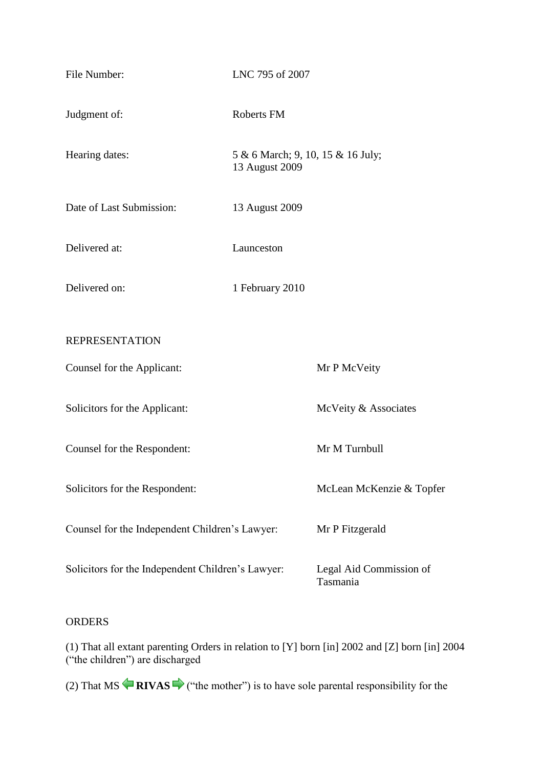| File Number:                                      | LNC 795 of 2007                                     |                                     |
|---------------------------------------------------|-----------------------------------------------------|-------------------------------------|
| Judgment of:                                      | Roberts FM                                          |                                     |
| Hearing dates:                                    | 5 & 6 March; 9, 10, 15 & 16 July;<br>13 August 2009 |                                     |
| Date of Last Submission:                          | 13 August 2009                                      |                                     |
| Delivered at:                                     | Launceston                                          |                                     |
| Delivered on:                                     | 1 February 2010                                     |                                     |
| <b>REPRESENTATION</b>                             |                                                     |                                     |
| Counsel for the Applicant:                        |                                                     | Mr P McVeity                        |
| Solicitors for the Applicant:                     |                                                     | McVeity & Associates                |
| Counsel for the Respondent:                       |                                                     | Mr M Turnbull                       |
| Solicitors for the Respondent:                    |                                                     | McLean McKenzie & Topfer            |
| Counsel for the Independent Children's Lawyer:    |                                                     | Mr P Fitzgerald                     |
| Solicitors for the Independent Children's Lawyer: |                                                     | Legal Aid Commission of<br>Tasmania |

# ORDERS

(1) That all extant parenting Orders in relation to [Y] born [in] 2002 and [Z] born [in] 2004 ("the children") are discharged

(2)That  $MS \nightharpoonup RIVAS \nightharpoonup$  ("the mother") is to have sole parental responsibility for the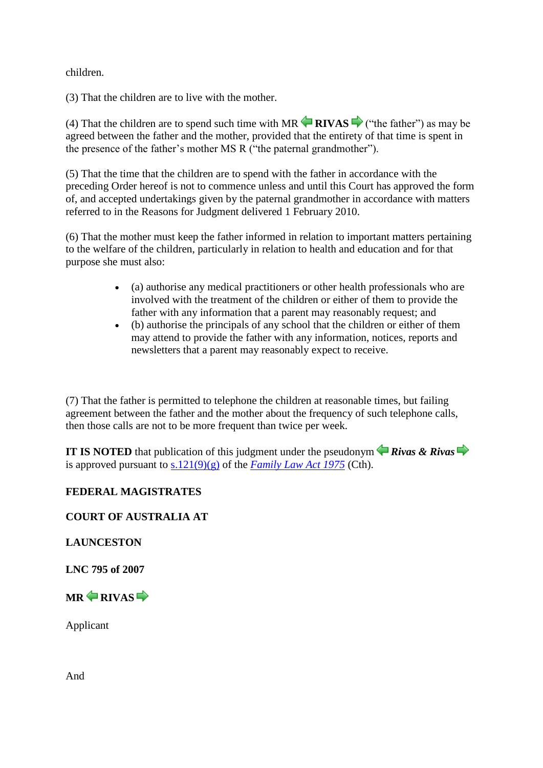children.

(3) That the children are to live with the mother.

(4)That the children are to spend such time with  $MR \nightharpoonup RIVAS \nightharpoonup$  ("the father") as may be agreed between the father and the mother, provided that the entirety of that time is spent in the presence of the father's mother MS R ("the paternal grandmother").

(5) That the time that the children are to spend with the father in accordance with the preceding Order hereof is not to commence unless and until this Court has approved the form of, and accepted undertakings given by the paternal grandmother in accordance with matters referred to in the Reasons for Judgment delivered 1 February 2010.

(6) That the mother must keep the father informed in relation to important matters pertaining to the welfare of the children, particularly in relation to health and education and for that purpose she must also:

- (a) authorise any medical practitioners or other health professionals who are involved with the treatment of the children or either of them to provide the father with any information that a parent may reasonably request; and
- (b) authorise the principals of any school that the children or either of them may attend to provide the father with any information, notices, reports and newsletters that a parent may reasonably expect to receive.

(7) That the father is permitted to telephone the children at reasonable times, but failing agreement between the father and the mother about the frequency of such telephone calls, then those calls are not to be more frequent than twice per week.

**IT IS NOTED** that publication of this judgment under the pseudonym  $\triangle$  Rivas & Rivas is approved pursuant to  $s.121(9)(g)$  of the *[Family Law Act 1975](http://www.austlii.edu.au/cgi-bin/viewdoc/au/legis/cth/consol_act/fla1975114/)* (Cth).

# **FEDERAL MAGISTRATES**

# **COURT OF AUSTRALIA AT**

**LAUNCESTON**

**LNC 795 of 2007**

 $MR \triangle$ RIVAS

Applicant

And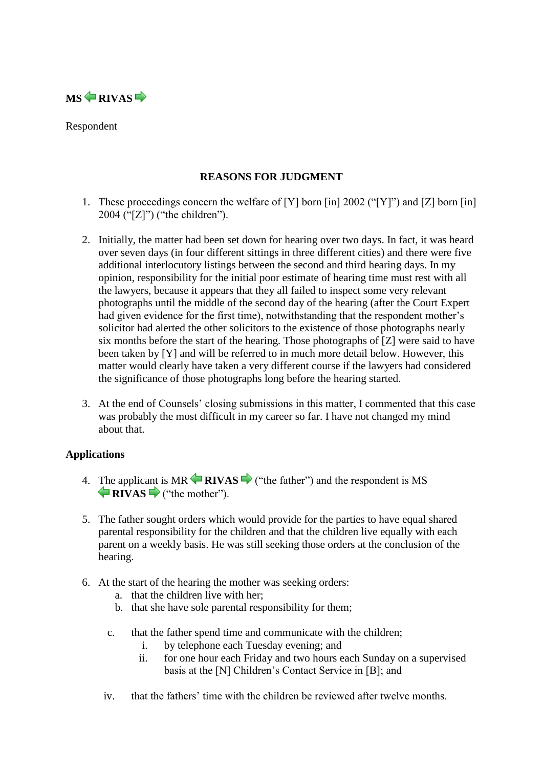

Respondent

# **REASONS FOR JUDGMENT**

- 1. These proceedings concern the welfare of [Y] born [in] 2002 ("[Y]") and [Z] born [in] 2004 ("[Z]") ("the children").
- 2. Initially, the matter had been set down for hearing over two days. In fact, it was heard over seven days (in four different sittings in three different cities) and there were five additional interlocutory listings between the second and third hearing days. In my opinion, responsibility for the initial poor estimate of hearing time must rest with all the lawyers, because it appears that they all failed to inspect some very relevant photographs until the middle of the second day of the hearing (after the Court Expert had given evidence for the first time), notwithstanding that the respondent mother's solicitor had alerted the other solicitors to the existence of those photographs nearly six months before the start of the hearing. Those photographs of [Z] were said to have been taken by [Y] and will be referred to in much more detail below. However, this matter would clearly have taken a very different course if the lawyers had considered the significance of those photographs long before the hearing started.
- 3. At the end of Counsels' closing submissions in this matter, I commented that this case was probably the most difficult in my career so far. I have not changed my mind about that.

# **Applications**

- 4. [Th](http://www.austlii.edu.au/cgi-bin/viewdoc/au/cases/cth/FMCAfam/2010/55.html?context=1;query=rivas;mask_path=au/cases/cth/FMCAfam#disp10)e applic[ant](http://www.austlii.edu.au/cgi-bin/viewdoc/au/cases/cth/FMCAfam/2010/55.html?context=1;query=rivas;mask_path=au/cases/cth/FMCAfam#disp12) is $MR \leftarrow RIVAS \rightarrow$  ("the father") and the respondent is MS **RIVAS** ("the mother").
- 5. The father sought orders which would provide for the parties to have equal shared parental responsibility for the children and that the children live equally with each parent on a weekly basis. He was still seeking those orders at the conclusion of the hearing.
- 6. At the start of the hearing the mother was seeking orders:
	- a. that the children live with her;
	- b. that she have sole parental responsibility for them;
	- c. that the father spend time and communicate with the children;
		- i. by telephone each Tuesday evening; and
		- ii. for one hour each Friday and two hours each Sunday on a supervised basis at the [N] Children's Contact Service in [B]; and
	- iv. that the fathers' time with the children be reviewed after twelve months.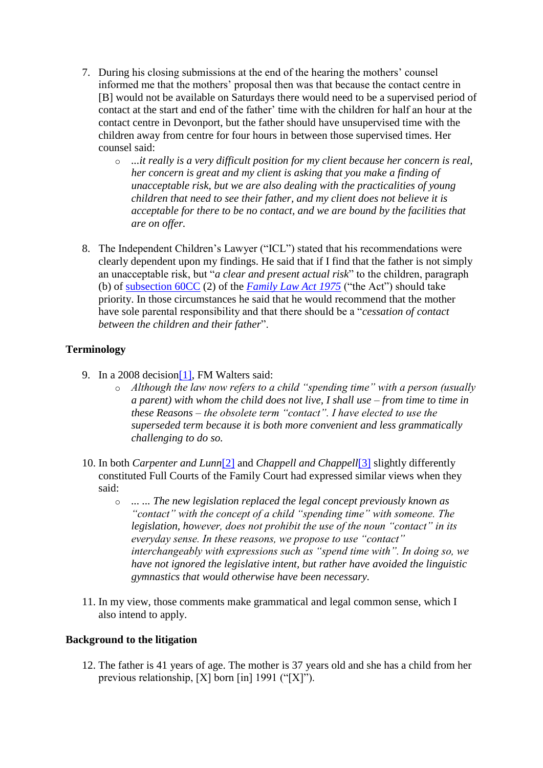- 7. During his closing submissions at the end of the hearing the mothers' counsel informed me that the mothers' proposal then was that because the contact centre in [B] would not be available on Saturdays there would need to be a supervised period of contact at the start and end of the father' time with the children for half an hour at the contact centre in Devonport, but the father should have unsupervised time with the children away from centre for four hours in between those supervised times. Her counsel said:
	- o *...it really is a very difficult position for my client because her concern is real, her concern is great and my client is asking that you make a finding of unacceptable risk, but we are also dealing with the practicalities of young children that need to see their father, and my client does not believe it is acceptable for there to be no contact, and we are bound by the facilities that are on offer.*
- 8. The Independent Children's Lawyer ("ICL") stated that his recommendations were clearly dependent upon my findings. He said that if I find that the father is not simply an unacceptable risk, but "*a clear and present actual risk*" to the children, paragraph (b) of [subsection 60CC](http://www.austlii.edu.au/cgi-bin/viewdoc/au/legis/cth/consol_act/fla1975114/s60cc.html) (2) of the *[Family Law Act 1975](http://www.austlii.edu.au/cgi-bin/viewdoc/au/legis/cth/consol_act/fla1975114/)* ("the Act") should take priority. In those circumstances he said that he would recommend that the mother have sole parental responsibility and that there should be a "*cessation of contact between the children and their father*".

# **Terminology**

- 9. In a 2008 decision<sup>[1]</sup>, FM Walters said:
	- o *Although the law now refers to a child "spending time" with a person (usually a parent) with whom the child does not live, I shall use – from time to time in these Reasons – the obsolete term "contact". I have elected to use the superseded term because it is both more convenient and less grammatically challenging to do so.*
- 10. In both *Carpenter and Lunn*[\[2\]](http://www.austlii.edu.au/cgi-bin/viewdoc/au/cases/cth/FMCAfam/2010/55.html?context=1;query=rivas;mask_path=au/cases/cth/FMCAfam#fn2) and *Chappell and Chappell*[\[3\]](http://www.austlii.edu.au/cgi-bin/viewdoc/au/cases/cth/FMCAfam/2010/55.html?context=1;query=rivas;mask_path=au/cases/cth/FMCAfam#fn3) slightly differently constituted Full Courts of the Family Court had expressed similar views when they said:
	- o *... ... The new legislation replaced the legal concept previously known as "contact" with the concept of a child "spending time" with someone. The legislation, however, does not prohibit the use of the noun "contact" in its everyday sense. In these reasons, we propose to use "contact" interchangeably with expressions such as "spend time with". In doing so, we have not ignored the legislative intent, but rather have avoided the linguistic gymnastics that would otherwise have been necessary.*
- 11. In my view, those comments make grammatical and legal common sense, which I also intend to apply.

# **Background to the litigation**

12. The father is 41 years of age. The mother is 37 years old and she has a child from her previous relationship, [X] born [in] 1991 ("[X]").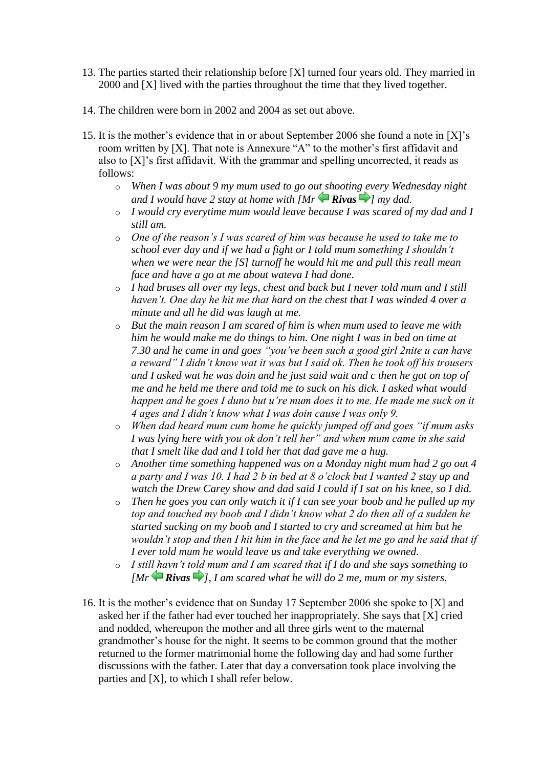- 13. The parties started their relationship before [X] turned four years old. They married in 2000 and [X] lived with the parties throughout the time that they lived together.
- 14. The children were born in 2002 and 2004 as set out above.
- 15. It is the mother's evidence that in or about September 2006 she found a note in [X]'s room written by [X]. That note is Annexure "A" to the mother's first affidavit and also to [X]'s first affidavit. With the grammar and spelling uncorrected, it reads as follows:
	- o *When I was about 9 my mum used to go o[ut sh](http://www.austlii.edu.au/cgi-bin/viewdoc/au/cases/cth/FMCAfam/2010/55.html?context=1;query=rivas;mask_path=au/cases/cth/FMCAfam#disp11)ootin[g ev](http://www.austlii.edu.au/cgi-bin/viewdoc/au/cases/cth/FMCAfam/2010/55.html?context=1;query=rivas;mask_path=au/cases/cth/FMCAfam#disp13)ery Wednesday night and I would have 2 stay at home with*  $\left[Mr\right]\left(Rivas\right)$  *my dad.*
	- o *I would cry everytime mum would leave because I was scared of my dad and I still am.*
	- o *One of the reason's I was scared of him was because he used to take me to school ever day and if we had a fight or I told mum something I shouldn't when we were near the [S] turnoff he would hit me and pull this reall mean face and have a go at me about wateva I had done.*
	- o *I had bruses all over my legs, chest and back but I never told mum and I still haven't. One day he hit me that hard on the chest that I was winded 4 over a minute and all he did was laugh at me.*
	- o *But the main reason I am scared of him is when mum used to leave me with him he would make me do things to him. One night I was in bed on time at 7.30 and he came in and goes "you've been such a good girl 2nite u can have a reward" I didn't know wat it was but I said ok. Then he took off his trousers and I asked wat he was doin and he just said wait and c then he got on top of me and he held me there and told me to suck on his dick. I asked what would happen and he goes I duno but u're mum does it to me. He made me suck on it 4 ages and I didn't know what I was doin cause I was only 9.*
	- o *When dad heard mum cum home he quickly jumped off and goes "if mum asks I was lying here with you ok don't tell her" and when mum came in she said that I smelt like dad and I told her that dad gave me a hug.*
	- o *Another time something happened was on a Monday night mum had 2 go out 4 a party and I was 10. I had 2 b in bed at 8 o'clock but I wanted 2 stay up and watch the Drew Carey show and dad said I could if I sat on his knee, so I did.*
	- o *Then he goes you can only watch it if I can see your boob and he pulled up my top and touched my boob and I didn't know what 2 do then all of a sudden he started sucking on my boob and I started to cry and screamed at him but he wouldn't stop and then I hit him in the face and he let me go and he said that if I ever told mum he would leave us and take everything we owned.*
	- o *I still havn't told mum and I am scared that if I do and she says something to [Mr* $\bigoplus$ *Rivas* $\bigoplus$ *[\]](http://www.austlii.edu.au/cgi-bin/viewdoc/au/cases/cth/FMCAfam/2010/55.html?context=1;query=rivas;mask_path=au/cases/cth/FMCAfam#disp14), I am scared what he will do 2 me, mum or my sisters.*
- 16. It is the mother's evidence that on Sunday 17 September 2006 she spoke to [X] and asked her if the father had ever touched her inappropriately. She says that [X] cried and nodded, whereupon the mother and all three girls went to the maternal grandmother's house for the night. It seems to be common ground that the mother returned to the former matrimonial home the following day and had some further discussions with the father. Later that day a conversation took place involving the parties and [X], to which I shall refer below.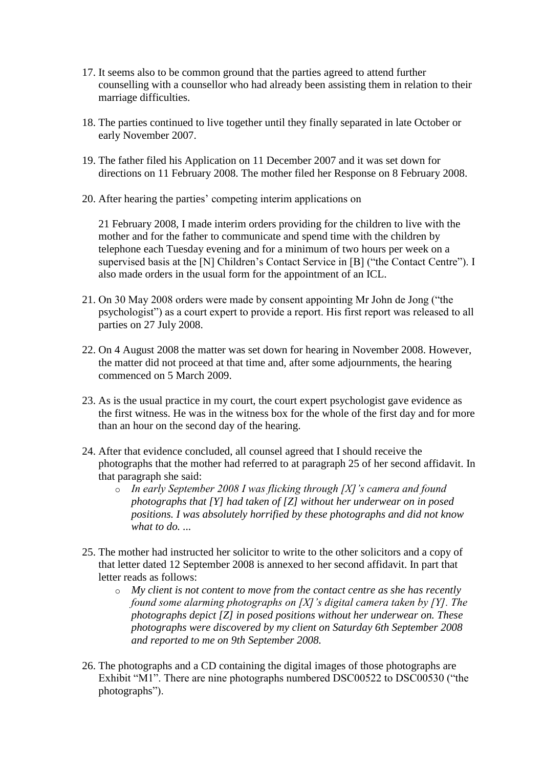- 17. It seems also to be common ground that the parties agreed to attend further counselling with a counsellor who had already been assisting them in relation to their marriage difficulties.
- 18. The parties continued to live together until they finally separated in late October or early November 2007.
- 19. The father filed his Application on 11 December 2007 and it was set down for directions on 11 February 2008. The mother filed her Response on 8 February 2008.
- 20. After hearing the parties' competing interim applications on

21 February 2008, I made interim orders providing for the children to live with the mother and for the father to communicate and spend time with the children by telephone each Tuesday evening and for a minimum of two hours per week on a supervised basis at the [N] Children's Contact Service in [B] ("the Contact Centre"). I also made orders in the usual form for the appointment of an ICL.

- 21. On 30 May 2008 orders were made by consent appointing Mr John de Jong ("the psychologist") as a court expert to provide a report. His first report was released to all parties on 27 July 2008.
- 22. On 4 August 2008 the matter was set down for hearing in November 2008. However, the matter did not proceed at that time and, after some adjournments, the hearing commenced on 5 March 2009.
- 23. As is the usual practice in my court, the court expert psychologist gave evidence as the first witness. He was in the witness box for the whole of the first day and for more than an hour on the second day of the hearing.
- 24. After that evidence concluded, all counsel agreed that I should receive the photographs that the mother had referred to at paragraph 25 of her second affidavit. In that paragraph she said:
	- o *In early September 2008 I was flicking through [X]'s camera and found photographs that [Y] had taken of [Z] without her underwear on in posed positions. I was absolutely horrified by these photographs and did not know*  what to do.
- 25. The mother had instructed her solicitor to write to the other solicitors and a copy of that letter dated 12 September 2008 is annexed to her second affidavit. In part that letter reads as follows:
	- o *My client is not content to move from the contact centre as she has recently found some alarming photographs on [X]'s digital camera taken by [Y]. The photographs depict [Z] in posed positions without her underwear on. These photographs were discovered by my client on Saturday 6th September 2008 and reported to me on 9th September 2008.*
- 26. The photographs and a CD containing the digital images of those photographs are Exhibit "M1". There are nine photographs numbered DSC00522 to DSC00530 ("the photographs").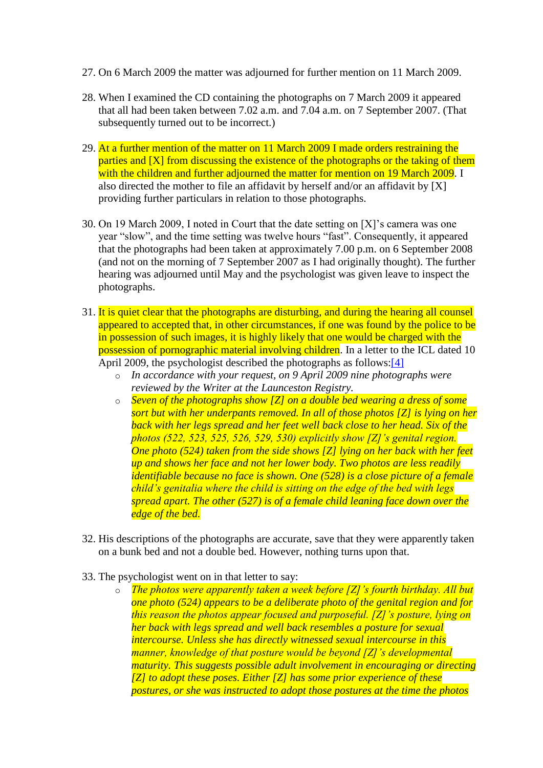- 27. On 6 March 2009 the matter was adjourned for further mention on 11 March 2009.
- 28. When I examined the CD containing the photographs on 7 March 2009 it appeared that all had been taken between 7.02 a.m. and 7.04 a.m. on 7 September 2007. (That subsequently turned out to be incorrect.)
- 29. At a further mention of the matter on 11 March 2009 I made orders restraining the parties and [X] from discussing the existence of the photographs or the taking of them with the children and further adjourned the matter for mention on 19 March 2009. I also directed the mother to file an affidavit by herself and/or an affidavit by [X] providing further particulars in relation to those photographs.
- 30. On 19 March 2009, I noted in Court that the date setting on [X]'s camera was one year "slow", and the time setting was twelve hours "fast". Consequently, it appeared that the photographs had been taken at approximately 7.00 p.m. on 6 September 2008 (and not on the morning of 7 September 2007 as I had originally thought). The further hearing was adjourned until May and the psychologist was given leave to inspect the photographs.
- 31. It is quiet clear that the photographs are disturbing, and during the hearing all counsel appeared to accepted that, in other circumstances, if one was found by the police to be in possession of such images, it is highly likely that one would be charged with the possession of pornographic material involving children. In a letter to the ICL dated 10 April 2009, the psychologist described the photographs as follows[:\[4\]](http://www.austlii.edu.au/cgi-bin/viewdoc/au/cases/cth/FMCAfam/2010/55.html?context=1;query=rivas;mask_path=au/cases/cth/FMCAfam#fn4)
	- o *In accordance with your request, on 9 April 2009 nine photographs were reviewed by the Writer at the Launceston Registry.*
	- o *Seven of the photographs show [Z] on a double bed wearing a dress of some sort but with her underpants removed. In all of those photos [Z] is lying on her back with her legs spread and her feet well back close to her head. Six of the photos (522, 523, 525, 526, 529, 530) explicitly show [Z]'s genital region. One photo (524) taken from the side shows [Z] lying on her back with her feet up and shows her face and not her lower body. Two photos are less readily identifiable because no face is shown. One (528) is a close picture of a female child's genitalia where the child is sitting on the edge of the bed with legs spread apart. The other (527) is of a female child leaning face down over the edge of the bed.*
- 32. His descriptions of the photographs are accurate, save that they were apparently taken on a bunk bed and not a double bed. However, nothing turns upon that.
- 33. The psychologist went on in that letter to say:
	- o *The photos were apparently taken a week before [Z]'s fourth birthday. All but one photo (524) appears to be a deliberate photo of the genital region and for this reason the photos appear focused and purposeful. [Z]'s posture, lying on her back with legs spread and well back resembles a posture for sexual intercourse. Unless she has directly witnessed sexual intercourse in this manner, knowledge of that posture would be beyond [Z]'s developmental maturity. This suggests possible adult involvement in encouraging or directing [Z] to adopt these poses. Either [Z] has some prior experience of these postures, or she was instructed to adopt those postures at the time the photos*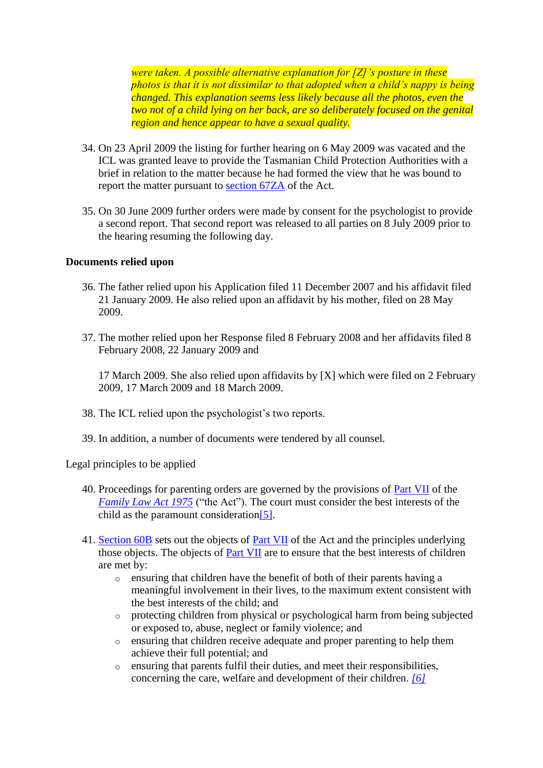*were taken. A possible alternative explanation for [Z]'s posture in these photos is that it is not dissimilar to that adopted when a child's nappy is being changed. This explanation seems less likely because all the photos, even the two not of a child lying on her back, are so deliberately focused on the genital region and hence appear to have a sexual quality.*

- 34. On 23 April 2009 the listing for further hearing on 6 May 2009 was vacated and the ICL was granted leave to provide the Tasmanian Child Protection Authorities with a brief in relation to the matter because he had formed the view that he was bound to report the matter pursuant to [section 67ZA](http://www.austlii.edu.au/cgi-bin/viewdoc/au/legis/cth/consol_act/fla1975114/s67za.html) of the Act.
- 35. On 30 June 2009 further orders were made by consent for the psychologist to provide a second report. That second report was released to all parties on 8 July 2009 prior to the hearing resuming the following day.

#### **Documents relied upon**

- 36. The father relied upon his Application filed 11 December 2007 and his affidavit filed 21 January 2009. He also relied upon an affidavit by his mother, filed on 28 May 2009.
- 37. The mother relied upon her Response filed 8 February 2008 and her affidavits filed 8 February 2008, 22 January 2009 and

17 March 2009. She also relied upon affidavits by [X] which were filed on 2 February 2009, 17 March 2009 and 18 March 2009.

- 38. The ICL relied upon the psychologist's two reports.
- 39. In addition, a number of documents were tendered by all counsel.

Legal principles to be applied

- 40. Proceedings for parenting orders are governed by the provisions of [Part VII](http://www.austlii.edu.au/cgi-bin/viewdoc/au/legis/cth/consol_act/fla1975114/index.html#p7) of the *[Family Law Act 1975](http://www.austlii.edu.au/cgi-bin/viewdoc/au/legis/cth/consol_act/fla1975114/)* ("the Act"). The court must consider the best interests of the child as the paramount consideration<sup>[5]</sup>.
- 41. [Section 60B](http://www.austlii.edu.au/cgi-bin/viewdoc/au/legis/cth/consol_act/fla1975114/s60b.html) sets out the objects of [Part VII](http://www.austlii.edu.au/cgi-bin/viewdoc/au/legis/cth/consol_act/fla1975114/index.html#p7) of the Act and the principles underlying those objects. The objects of [Part VII](http://www.austlii.edu.au/cgi-bin/viewdoc/au/legis/cth/consol_act/fla1975114/index.html#p7) are to ensure that the best interests of children are met by:
	- o ensuring that children have the benefit of both of their parents having a meaningful involvement in their lives, to the maximum extent consistent with the best interests of the child; and
	- o protecting children from physical or psychological harm from being subjected or exposed to, abuse, neglect or family violence; and
	- o ensuring that children receive adequate and proper parenting to help them achieve their full potential; and
	- o ensuring that parents fulfil their duties, and meet their responsibilities, concerning the care, welfare and development of their children. *[\[6\]](http://www.austlii.edu.au/cgi-bin/viewdoc/au/cases/cth/FMCAfam/2010/55.html?context=1;query=rivas;mask_path=au/cases/cth/FMCAfam#fn6)*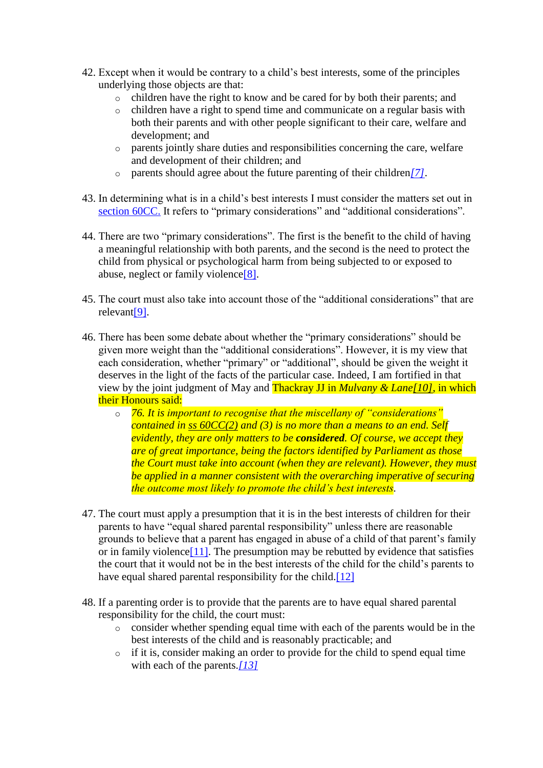- 42. Except when it would be contrary to a child's best interests, some of the principles underlying those objects are that:
	- o children have the right to know and be cared for by both their parents; and
	- o children have a right to spend time and communicate on a regular basis with both their parents and with other people significant to their care, welfare and development; and
	- o parents jointly share duties and responsibilities concerning the care, welfare and development of their children; and
	- o parents should agree about the future parenting of their children*[\[7\]](http://www.austlii.edu.au/cgi-bin/viewdoc/au/cases/cth/FMCAfam/2010/55.html?context=1;query=rivas;mask_path=au/cases/cth/FMCAfam#fn7)*.
- 43. In determining what is in a child's best interests I must consider the matters set out in [section 60CC.](http://www.austlii.edu.au/cgi-bin/viewdoc/au/legis/cth/consol_act/fla1975114/s60cc.html) It refers to "primary considerations" and "additional considerations".
- 44. There are two "primary considerations". The first is the benefit to the child of having a meaningful relationship with both parents, and the second is the need to protect the child from physical or psychological harm from being subjected to or exposed to abuse, neglect or family violenc[e\[8\].](http://www.austlii.edu.au/cgi-bin/viewdoc/au/cases/cth/FMCAfam/2010/55.html?context=1;query=rivas;mask_path=au/cases/cth/FMCAfam#fn8)
- 45. The court must also take into account those of the "additional considerations" that are relevan[t\[9\].](http://www.austlii.edu.au/cgi-bin/viewdoc/au/cases/cth/FMCAfam/2010/55.html?context=1;query=rivas;mask_path=au/cases/cth/FMCAfam#fn9)
- 46. There has been some debate about whether the "primary considerations" should be given more weight than the "additional considerations". However, it is my view that each consideration, whether "primary" or "additional", should be given the weight it deserves in the light of the facts of the particular case. Indeed, I am fortified in that view by the joint judgment of May and Thackray JJ in *Mulvany & Lan[e\[10\]](http://www.austlii.edu.au/cgi-bin/viewdoc/au/cases/cth/FMCAfam/2010/55.html?context=1;query=rivas;mask_path=au/cases/cth/FMCAfam#fn10)*, in which their Honours said:
	- o *76. It is important to recognise that the miscellany of "considerations" contained in [ss 60CC\(2\)](http://www.austlii.edu.au/cgi-bin/viewdoc/au/legis/cth/consol_act/fla1975114/s60cc.html) and (3) is no more than a means to an end. Self evidently, they are only matters to be considered. Of course, we accept they are of great importance, being the factors identified by Parliament as those the Court must take into account (when they are relevant). However, they must be applied in a manner consistent with the overarching imperative of securing the outcome most likely to promote the child's best interests.*
- 47. The court must apply a presumption that it is in the best interests of children for their parents to have "equal shared parental responsibility" unless there are reasonable grounds to believe that a parent has engaged in abuse of a child of that parent's family or in family violence<sup>[11]</sup>. The presumption may be rebutted by evidence that satisfies the court that it would not be in the best interests of the child for the child's parents to have equal shared parental responsibility for the child.<sup>[12]</sup>
- 48. If a parenting order is to provide that the parents are to have equal shared parental responsibility for the child, the court must:
	- o consider whether spending equal time with each of the parents would be in the best interests of the child and is reasonably practicable; and
	- o if it is, consider making an order to provide for the child to spend equal time with each of the parents.*[\[13\]](http://www.austlii.edu.au/cgi-bin/viewdoc/au/cases/cth/FMCAfam/2010/55.html?context=1;query=rivas;mask_path=au/cases/cth/FMCAfam#fn13)*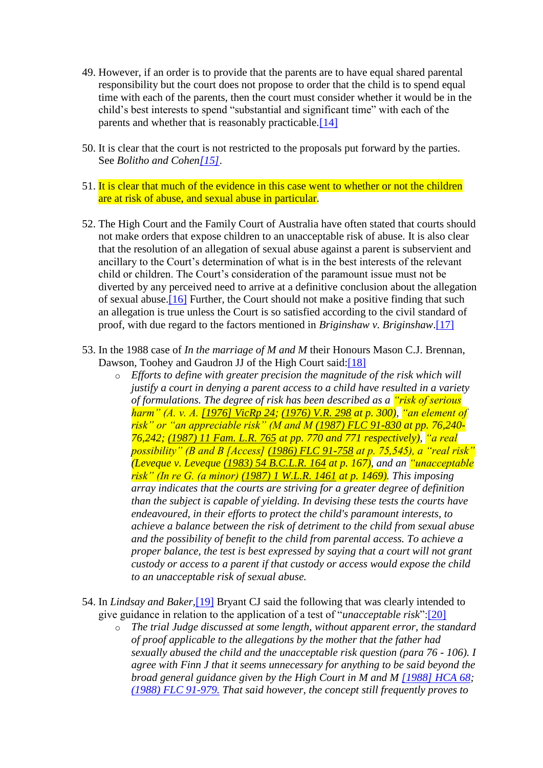- 49. However, if an order is to provide that the parents are to have equal shared parental responsibility but the court does not propose to order that the child is to spend equal time with each of the parents, then the court must consider whether it would be in the child's best interests to spend "substantial and significant time" with each of the parents and whether that is reasonably practicable[.\[14\]](http://www.austlii.edu.au/cgi-bin/viewdoc/au/cases/cth/FMCAfam/2010/55.html?context=1;query=rivas;mask_path=au/cases/cth/FMCAfam#fn14)
- 50. It is clear that the court is not restricted to the proposals put forward by the parties. See *Bolitho and Cohe[n\[15\]](http://www.austlii.edu.au/cgi-bin/viewdoc/au/cases/cth/FMCAfam/2010/55.html?context=1;query=rivas;mask_path=au/cases/cth/FMCAfam#fn15)*.
- 51. It is clear that much of the evidence in this case went to whether or not the children are at risk of abuse, and sexual abuse in particular.
- 52. The High Court and the Family Court of Australia have often stated that courts should not make orders that expose children to an unacceptable risk of abuse. It is also clear that the resolution of an allegation of sexual abuse against a parent is subservient and ancillary to the Court's determination of what is in the best interests of the relevant child or children. The Court's consideration of the paramount issue must not be diverted by any perceived need to arrive at a definitive conclusion about the allegation of sexual abuse[.\[16\]](http://www.austlii.edu.au/cgi-bin/viewdoc/au/cases/cth/FMCAfam/2010/55.html?context=1;query=rivas;mask_path=au/cases/cth/FMCAfam#fn16) Further, the Court should not make a positive finding that such an allegation is true unless the Court is so satisfied according to the civil standard of proof, with due regard to the factors mentioned in *Briginshaw v. Briginshaw*[.\[17\]](http://www.austlii.edu.au/cgi-bin/viewdoc/au/cases/cth/FMCAfam/2010/55.html?context=1;query=rivas;mask_path=au/cases/cth/FMCAfam#fn17)
- 53. In the 1988 case of *In the marriage of M and M* their Honours Mason C.J. Brennan, Dawson, Toohey and Gaudron JJ of the High Court said[:\[18\]](http://www.austlii.edu.au/cgi-bin/viewdoc/au/cases/cth/FMCAfam/2010/55.html?context=1;query=rivas;mask_path=au/cases/cth/FMCAfam#fn18)
	- o *Efforts to define with greater precision the magnitude of the risk which will justify a court in denying a parent access to a child have resulted in a variety of formulations. The degree of risk has been described as a "risk of serious harm" (A. v. A. [\[1976\] VicRp 24;](http://www.austlii.edu.au/cgi-bin/viewdoc/au/cases/vic/VicRp/1976/24.html) [\(1976\) V.R. 298](http://www.austlii.edu.au/cgi-bin/LawCite?cit=%281976%29%20VR%20298) at p. 300), "an element of risk" or "an appreciable risk" (M and M [\(1987\) FLC 91-830](http://www.austlii.edu.au/cgi-bin/LawCite?cit=%281987%29%20FLC%2091%2d830) at pp. 76,240- 76,242; [\(1987\) 11 Fam. L.R. 765](http://www.austlii.edu.au/cgi-bin/LawCite?cit=%281987%29%2011%20Fam%20LR%20765) at pp. 770 and 771 respectively), "a real possibility" (B and B [Access] [\(1986\) FLC 91-758](http://www.austlii.edu.au/cgi-bin/LawCite?cit=%281986%29%20FLC%2091%2d758) at p. 75,545), a "real risk" (Leveque v. Leveque [\(1983\) 54 B.C.L.R. 164](http://www.austlii.edu.au/cgi-bin/LawCite?cit=%281983%29%2054%20BCLR%20164) at p. 167), and an "unacceptable risk" (In re G. (a minor) [\(1987\) 1 W.L.R. 1461](http://www.austlii.edu.au/cgi-bin/LawCite?cit=%281987%29%201%20WLR%201461) at p. 1469). This imposing array indicates that the courts are striving for a greater degree of definition than the subject is capable of yielding. In devising these tests the courts have endeavoured, in their efforts to protect the child's paramount interests, to achieve a balance between the risk of detriment to the child from sexual abuse and the possibility of benefit to the child from parental access. To achieve a proper balance, the test is best expressed by saying that a court will not grant custody or access to a parent if that custody or access would expose the child to an unacceptable risk of sexual abuse.*
- 54. In *Lindsay and Baker,*[\[19\]](http://www.austlii.edu.au/cgi-bin/viewdoc/au/cases/cth/FMCAfam/2010/55.html?context=1;query=rivas;mask_path=au/cases/cth/FMCAfam#fn19) Bryant CJ said the following that was clearly intended to give guidance in relation to the application of a test of "*unacceptable risk*"[:\[20\]](http://www.austlii.edu.au/cgi-bin/viewdoc/au/cases/cth/FMCAfam/2010/55.html?context=1;query=rivas;mask_path=au/cases/cth/FMCAfam#fn20)
	- o *The trial Judge discussed at some length, without apparent error, the standard of proof applicable to the allegations by the mother that the father had sexually abused the child and the unacceptable risk question (para 76 - 106). I agree with Finn J that it seems unnecessary for anything to be said beyond the broad general guidance given by the High Court in M and M [\[1988\] HCA 68;](http://www.austlii.edu.au/cgi-bin/viewdoc/au/cases/cth/HCA/1988/68.html) [\(1988\) FLC 91-979.](http://www.austlii.edu.au/cgi-bin/LawCite?cit=%281988%29%20FLC%2091%2d979) That said however, the concept still frequently proves to*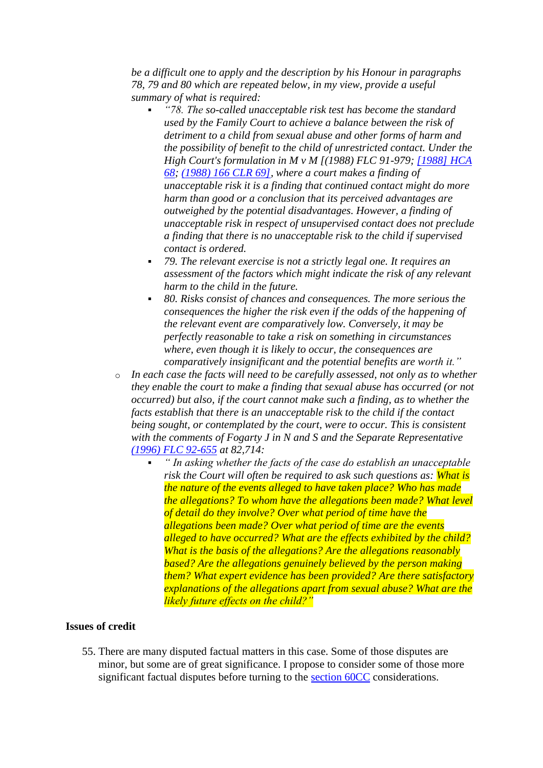*be a difficult one to apply and the description by his Honour in paragraphs 78, 79 and 80 which are repeated below, in my view, provide a useful summary of what is required:* 

- *"78. The so-called unacceptable risk test has become the standard used by the Family Court to achieve a balance between the risk of detriment to a child from sexual abuse and other forms of harm and the possibility of benefit to the child of unrestricted contact. Under the High Court's formulation in M v M [(1988) FLC 91-979; [\[1988\] HCA](http://www.austlii.edu.au/cgi-bin/viewdoc/au/cases/cth/HCA/1988/68.html)  [68;](http://www.austlii.edu.au/cgi-bin/viewdoc/au/cases/cth/HCA/1988/68.html) [\(1988\) 166 CLR 69\],](http://www.austlii.edu.au/cgi-bin/LawCite?cit=%281988%29%20166%20CLR%2069) where a court makes a finding of unacceptable risk it is a finding that continued contact might do more harm than good or a conclusion that its perceived advantages are outweighed by the potential disadvantages. However, a finding of unacceptable risk in respect of unsupervised contact does not preclude a finding that there is no unacceptable risk to the child if supervised contact is ordered.*
- *79. The relevant exercise is not a strictly legal one. It requires an assessment of the factors which might indicate the risk of any relevant harm to the child in the future.*
- *80. Risks consist of chances and consequences. The more serious the consequences the higher the risk even if the odds of the happening of the relevant event are comparatively low. Conversely, it may be perfectly reasonable to take a risk on something in circumstances where, even though it is likely to occur, the consequences are comparatively insignificant and the potential benefits are worth it."*
- o *In each case the facts will need to be carefully assessed, not only as to whether they enable the court to make a finding that sexual abuse has occurred (or not occurred) but also, if the court cannot make such a finding, as to whether the facts establish that there is an unacceptable risk to the child if the contact being sought, or contemplated by the court, were to occur. This is consistent with the comments of Fogarty J in N and S and the Separate Representative [\(1996\) FLC 92-655](http://www.austlii.edu.au/cgi-bin/LawCite?cit=%281996%29%20FLC%2092%2d655) at 82,714:* 
	- *" In asking whether the facts of the case do establish an unacceptable risk the Court will often be required to ask such questions as: What is the nature of the events alleged to have taken place? Who has made the allegations? To whom have the allegations been made? What level of detail do they involve? Over what period of time have the allegations been made? Over what period of time are the events alleged to have occurred? What are the effects exhibited by the child? What is the basis of the allegations? Are the allegations reasonably based? Are the allegations genuinely believed by the person making them? What expert evidence has been provided? Are there satisfactory explanations of the allegations apart from sexual abuse? What are the likely future effects on the child?"*

#### **Issues of credit**

55. There are many disputed factual matters in this case. Some of those disputes are minor, but some are of great significance. I propose to consider some of those more significant factual disputes before turning to the [section 60CC](http://www.austlii.edu.au/cgi-bin/viewdoc/au/legis/cth/consol_act/fla1975114/s60cc.html) considerations.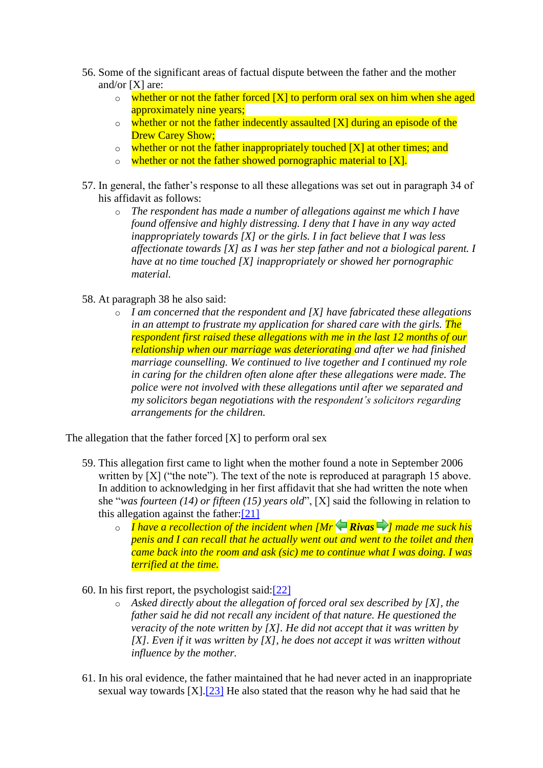- 56. Some of the significant areas of factual dispute between the father and the mother and/or [X] are:
	- $\circ$  whether or not the father forced [X] to perform oral sex on him when she aged approximately nine years;
	- $\circ$  whether or not the father indecently assaulted [X] during an episode of the Drew Carey Show;
	- $\circ$  whether or not the father inappropriately touched [X] at other times; and
	- $\circ$  whether or not the father showed pornographic material to [X].
- 57. In general, the father's response to all these allegations was set out in paragraph 34 of his affidavit as follows:
	- o *The respondent has made a number of allegations against me which I have found offensive and highly distressing. I deny that I have in any way acted inappropriately towards [X] or the girls. I in fact believe that I was less affectionate towards [X] as I was her step father and not a biological parent. I have at no time touched [X] inappropriately or showed her pornographic material.*
- 58. At paragraph 38 he also said:
	- o *I am concerned that the respondent and [X] have fabricated these allegations in an attempt to frustrate my application for shared care with the girls. The respondent first raised these allegations with me in the last 12 months of our relationship when our marriage was deteriorating and after we had finished marriage counselling. We continued to live together and I continued my role in caring for the children often alone after these allegations were made. The police were not involved with these allegations until after we separated and my solicitors began negotiations with the respondent's solicitors regarding arrangements for the children.*

The allegation that the father forced [X] to perform oral sex

- 59. This allegation first came to light when the mother found a note in September 2006 written by  $[X]$  ("the note"). The text of the note is reproduced at paragraph 15 above. In addition to acknowledging in her first affidavit that she had written the note when she "*was fourteen (14) or fifteen (15) years old*", [X] said the following in relation to this allegation against the father[:\[21\]](http://www.austlii.edu.au/cgi-bin/viewdoc/au/cases/cth/FMCAfam/2010/55.html?context=1;query=rivas;mask_path=au/cases/cth/FMCAfam#fn21)
	- o *I have a recollection of the incident when [MrRivas [\]](http://www.austlii.edu.au/cgi-bin/viewdoc/au/cases/cth/FMCAfam/2010/55.html?context=1;query=rivas;mask_path=au/cases/cth/FMCAfam#disp15) made me suck his penis and I can recall that he actually went out and went to the toilet and then came back into the room and ask (sic) me to continue what I was doing. I was terrified at the time.*
- 60. In his first report, the psychologist said[:\[22\]](http://www.austlii.edu.au/cgi-bin/viewdoc/au/cases/cth/FMCAfam/2010/55.html?context=1;query=rivas;mask_path=au/cases/cth/FMCAfam#fn22)
	- o *Asked directly about the allegation of forced oral sex described by [X], the father said he did not recall any incident of that nature. He questioned the veracity of the note written by [X]. He did not accept that it was written by [X]. Even if it was written by [X], he does not accept it was written without influence by the mother.*
- 61. In his oral evidence, the father maintained that he had never acted in an inappropriate sexual way towards  $[X]$ .<sup>[23]</sup> He also stated that the reason why he had said that he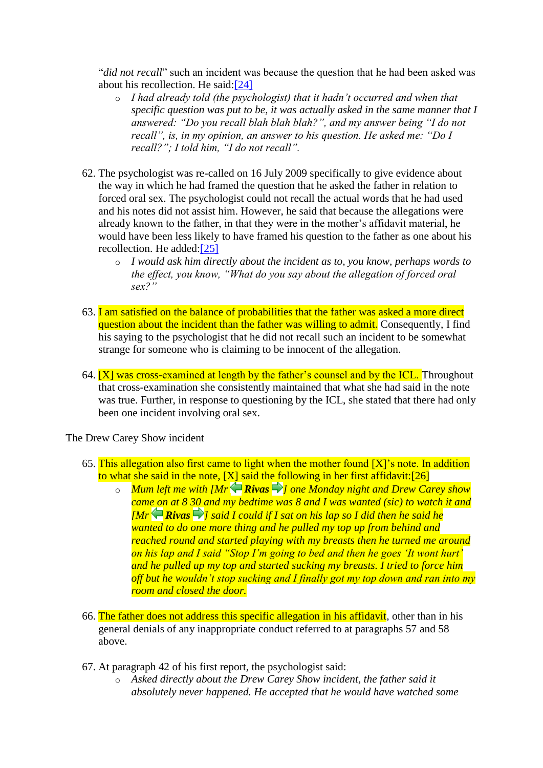"*did not recall*" such an incident was because the question that he had been asked was about his recollection. He said[:\[24\]](http://www.austlii.edu.au/cgi-bin/viewdoc/au/cases/cth/FMCAfam/2010/55.html?context=1;query=rivas;mask_path=au/cases/cth/FMCAfam#fn24)

- o *I had already told (the psychologist) that it hadn't occurred and when that specific question was put to be, it was actually asked in the same manner that I answered: "Do you recall blah blah blah?", and my answer being "I do not recall", is, in my opinion, an answer to his question. He asked me: "Do I recall?"; I told him, "I do not recall".*
- 62. The psychologist was re-called on 16 July 2009 specifically to give evidence about the way in which he had framed the question that he asked the father in relation to forced oral sex. The psychologist could not recall the actual words that he had used and his notes did not assist him. However, he said that because the allegations were already known to the father, in that they were in the mother's affidavit material, he would have been less likely to have framed his question to the father as one about his recollection. He added[:\[25\]](http://www.austlii.edu.au/cgi-bin/viewdoc/au/cases/cth/FMCAfam/2010/55.html?context=1;query=rivas;mask_path=au/cases/cth/FMCAfam#fn25)
	- o *I would ask him directly about the incident as to, you know, perhaps words to the effect, you know, "What do you say about the allegation of forced oral sex?"*
- 63. I am satisfied on the balance of probabilities that the father was asked a more direct question about the incident than the father was willing to admit. Consequently, I find his saying to the psychologist that he did not recall such an incident to be somewhat strange for someone who is claiming to be innocent of the allegation.
- 64.  $[X]$  was cross-examined at length by the father's counsel and by the ICL. Throughout that cross-examination she consistently maintained that what she had said in the note was true. Further, in response to questioning by the ICL, she stated that there had only been one incident involving oral sex.

The Drew Carey Show incident

- 65. This allegation also first came to light when the mother found  $[X]$ 's note. In addition to what she said in the note,  $[X]$  said the following in her first affidavit: [26]
	- o *Mum left me with [Mr Rivas ] one Monday night and Drew Carey show came on at 8 30 and my bedtime was 8 and I was wanted (sic) to watch it and*   $\overline{fMr}$ **Rivas**  $\Rightarrow$  *l* said I could if I sat on his lap so I did then he said he *wanted to do one more thing and he pulled my top up from behind and reached round and started playing with my breasts then he turned me around on his lap and I said "Stop I'm going to bed and then he goes 'It wont hurt' and he pulled up my top and started sucking my breasts. I tried to force him off but he wouldn't stop sucking and I finally got my top down and ran into my room and closed the door.*
- 66. The father does not address this specific allegation in his affidavit, other than in his general denials of any inappropriate conduct referred to at paragraphs 57 and 58 above.
- 67. At paragraph 42 of his first report, the psychologist said:
	- o *Asked directly about the Drew Carey Show incident, the father said it absolutely never happened. He accepted that he would have watched some*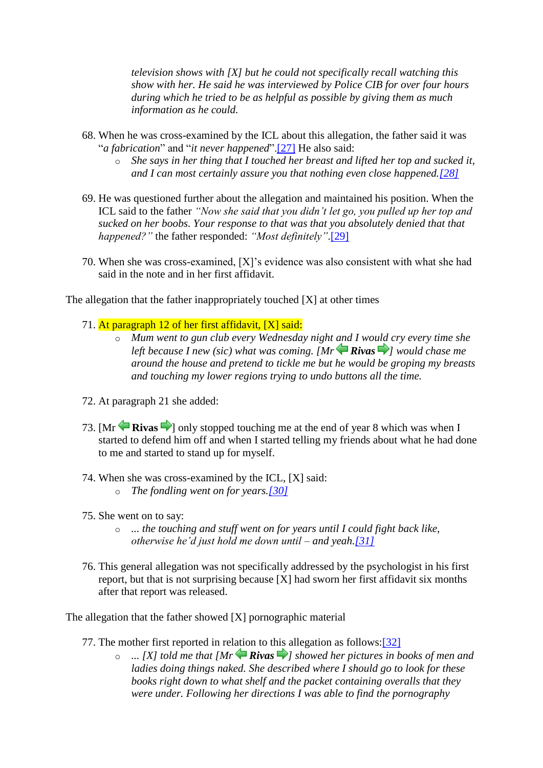*television shows with [X] but he could not specifically recall watching this show with her. He said he was interviewed by Police CIB for over four hours during which he tried to be as helpful as possible by giving them as much information as he could.*

- 68. When he was cross-examined by the ICL about this allegation, the father said it was "*a fabrication*" and "*it never happened*"[.\[27\]](http://www.austlii.edu.au/cgi-bin/viewdoc/au/cases/cth/FMCAfam/2010/55.html?context=1;query=rivas;mask_path=au/cases/cth/FMCAfam#fn27) He also said:
	- o *She says in her thing that I touched her breast and lifted her top and sucked it, and I can most certainly assure you that nothing even close happened[.\[28\]](http://www.austlii.edu.au/cgi-bin/viewdoc/au/cases/cth/FMCAfam/2010/55.html?context=1;query=rivas;mask_path=au/cases/cth/FMCAfam#fn28)*
- 69. He was questioned further about the allegation and maintained his position. When the ICL said to the father *"Now she said that you didn't let go, you pulled up her top and sucked on her boobs. Your response to that was that you absolutely denied that that happened?"* the father responded: *"Most definitely"*[.\[29\]](http://www.austlii.edu.au/cgi-bin/viewdoc/au/cases/cth/FMCAfam/2010/55.html?context=1;query=rivas;mask_path=au/cases/cth/FMCAfam#fn29)
- 70. When she was cross-examined, [X]'s evidence was also consistent with what she had said in the note and in her first affidavit.

The allegation that the father inappropriately touched [X] at other times

- 71. At paragraph 12 of her first affidavit, [X] said:
	- o *Mum went to gun club every Wednesday night and I would cry every time she leftbecause I new (sic) what was coming.*  $IMr \bigoplus Rivas \bigoplus l$  *would chase me around the house and pretend to tickle me but he would be groping my breasts and touching my lower regions trying to undo buttons all the time.*
- 72. At paragraph 21 she added:
- 73.  $\text{[Mr]}$  **Rivas** I only stopped touching me at the end of year 8 which was when I started to defend him off and when I started telling my friends about what he had done to me and started to stand up for myself.
- 74. When she was cross-examined by the ICL, [X] said:
	- o *The fondling went on for years[.\[30\]](http://www.austlii.edu.au/cgi-bin/viewdoc/au/cases/cth/FMCAfam/2010/55.html?context=1;query=rivas;mask_path=au/cases/cth/FMCAfam#fn30)*
- 75. She went on to say:
	- o *... the touching and stuff went on for years until I could fight back like, otherwise he'd just hold me down until – and yeah[.\[31\]](http://www.austlii.edu.au/cgi-bin/viewdoc/au/cases/cth/FMCAfam/2010/55.html?context=1;query=rivas;mask_path=au/cases/cth/FMCAfam#fn31)*
- 76. This general allegation was not specifically addressed by the psychologist in his first report, but that is not surprising because [X] had sworn her first affidavit six months after that report was released.

The allegation that the father showed [X] pornographic material

- 77. The mother first reported in relation to this allegation as follows[:\[32\]](http://www.austlii.edu.au/cgi-bin/viewdoc/au/cases/cth/FMCAfam/2010/55.html?context=1;query=rivas;mask_path=au/cases/cth/FMCAfam#fn32)
	- o *... [X] told me that [MrRivas [\]](http://www.austlii.edu.au/cgi-bin/viewdoc/au/cases/cth/FMCAfam/2010/55.html?context=1;query=rivas;mask_path=au/cases/cth/FMCAfam#disp20) showed her pictures in books of men and ladies doing things naked. She described where I should go to look for these books right down to what shelf and the packet containing overalls that they were under. Following her directions I was able to find the pornography*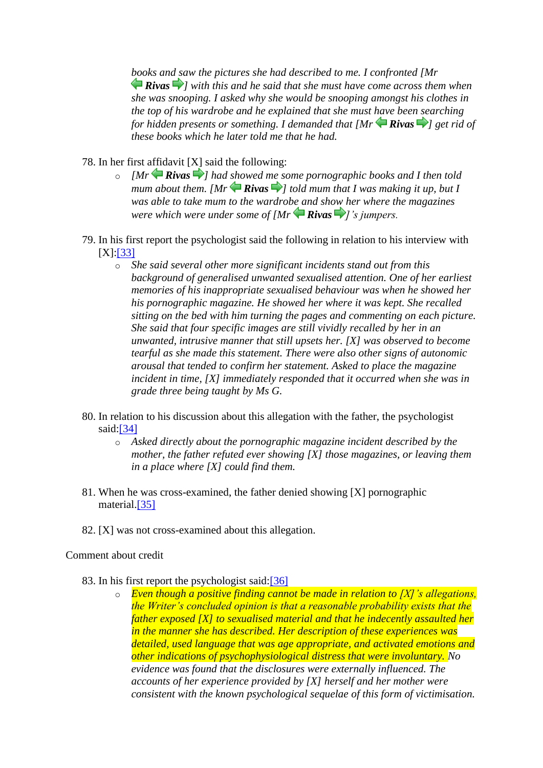*books and saw the pictures she had described to me. I confronted [Mr Rivas ] with this and he said that she must have come across them when she was snooping. I asked why she would be snooping amongst his clothes in the top of his wardrobe and he explained that she must have been searching for hidden presents or something. I demanded that [Mr Rivas ] get rid of these books which he later told me that he had.*

78. In her first affidavit [X] said the following:

- o *[MrRivas [\]](http://www.austlii.edu.au/cgi-bin/viewdoc/au/cases/cth/FMCAfam/2010/55.html?context=1;query=rivas;mask_path=au/cases/cth/FMCAfam#disp23) had showed me some pornographic books and I then told mumabout them.* [Mr  $\bigoplus$  **Rivas**  $\bigoplus$ [\]](http://www.austlii.edu.au/cgi-bin/viewdoc/au/cases/cth/FMCAfam/2010/55.html?context=1;query=rivas;mask_path=au/cases/cth/FMCAfam#disp24) told mum that I was making it up, but I *was able to take mum to the wardrobe and show her where the magazines were which were under some of [Mr Rivas ]'s jumpers.*
- 79. In his first report the psychologist said the following in relation to his interview with [X][:\[33\]](http://www.austlii.edu.au/cgi-bin/viewdoc/au/cases/cth/FMCAfam/2010/55.html?context=1;query=rivas;mask_path=au/cases/cth/FMCAfam#fn33)
	- o *She said several other more significant incidents stand out from this background of generalised unwanted sexualised attention. One of her earliest memories of his inappropriate sexualised behaviour was when he showed her his pornographic magazine. He showed her where it was kept. She recalled sitting on the bed with him turning the pages and commenting on each picture. She said that four specific images are still vividly recalled by her in an unwanted, intrusive manner that still upsets her. [X] was observed to become tearful as she made this statement. There were also other signs of autonomic arousal that tended to confirm her statement. Asked to place the magazine incident in time, [X] immediately responded that it occurred when she was in grade three being taught by Ms G.*
- 80. In relation to his discussion about this allegation with the father, the psychologist said[:\[34\]](http://www.austlii.edu.au/cgi-bin/viewdoc/au/cases/cth/FMCAfam/2010/55.html?context=1;query=rivas;mask_path=au/cases/cth/FMCAfam#fn34)
	- o *Asked directly about the pornographic magazine incident described by the mother, the father refuted ever showing [X] those magazines, or leaving them in a place where [X] could find them.*
- 81. When he was cross-examined, the father denied showing [X] pornographic material[.\[35\]](http://www.austlii.edu.au/cgi-bin/viewdoc/au/cases/cth/FMCAfam/2010/55.html?context=1;query=rivas;mask_path=au/cases/cth/FMCAfam#fn35)
- 82. [X] was not cross-examined about this allegation.

#### Comment about credit

- 83. In his first report the psychologist said[:\[36\]](http://www.austlii.edu.au/cgi-bin/viewdoc/au/cases/cth/FMCAfam/2010/55.html?context=1;query=rivas;mask_path=au/cases/cth/FMCAfam#fn36)
	- o *Even though a positive finding cannot be made in relation to [X]'s allegations, the Writer's concluded opinion is that a reasonable probability exists that the father exposed [X] to sexualised material and that he indecently assaulted her in the manner she has described. Her description of these experiences was detailed, used language that was age appropriate, and activated emotions and other indications of psychophysiological distress that were involuntary. No evidence was found that the disclosures were externally influenced. The accounts of her experience provided by [X] herself and her mother were consistent with the known psychological sequelae of this form of victimisation.*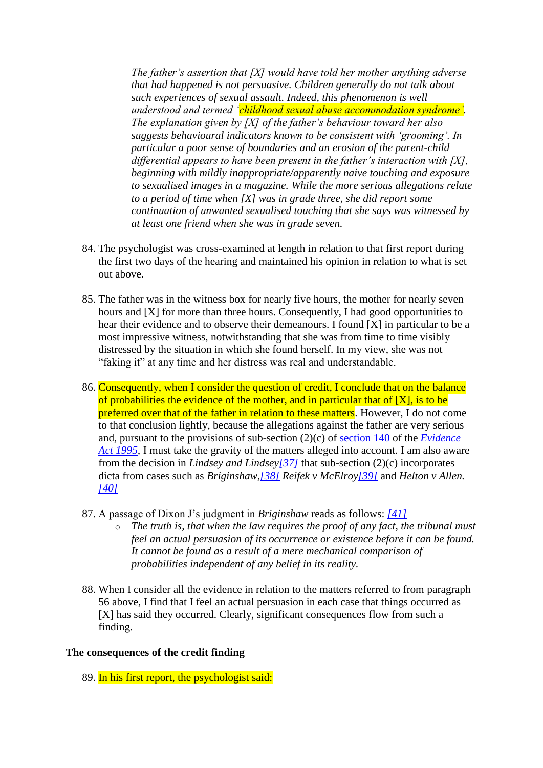*The father's assertion that [X] would have told her mother anything adverse that had happened is not persuasive. Children generally do not talk about such experiences of sexual assault. Indeed, this phenomenon is well understood and termed 'childhood sexual abuse accommodation syndrome'. The explanation given by [X] of the father's behaviour toward her also suggests behavioural indicators known to be consistent with 'grooming'. In particular a poor sense of boundaries and an erosion of the parent-child differential appears to have been present in the father's interaction with [X], beginning with mildly inappropriate/apparently naive touching and exposure to sexualised images in a magazine. While the more serious allegations relate to a period of time when [X] was in grade three, she did report some continuation of unwanted sexualised touching that she says was witnessed by at least one friend when she was in grade seven.*

- 84. The psychologist was cross-examined at length in relation to that first report during the first two days of the hearing and maintained his opinion in relation to what is set out above.
- 85. The father was in the witness box for nearly five hours, the mother for nearly seven hours and [X] for more than three hours. Consequently, I had good opportunities to hear their evidence and to observe their demeanours. I found [X] in particular to be a most impressive witness, notwithstanding that she was from time to time visibly distressed by the situation in which she found herself. In my view, she was not "faking it" at any time and her distress was real and understandable.
- 86. Consequently, when I consider the question of credit, I conclude that on the balance of probabilities the evidence of the mother, and in particular that of  $[X]$ , is to be preferred over that of the father in relation to these matters. However, I do not come to that conclusion lightly, because the allegations against the father are very serious and, pursuant to the provisions of sub-section (2)(c) of [section 140](http://www.austlii.edu.au/cgi-bin/viewdoc/au/legis/cth/consol_act/ea199580/s140.html) of the *[Evidence](http://www.austlii.edu.au/cgi-bin/viewdoc/au/legis/cth/consol_act/ea199580/)*  [Act 1995,](http://www.austlii.edu.au/cgi-bin/viewdoc/au/legis/cth/consol_act/ea199580/) I must take the gravity of the matters alleged into account. I am also aware from the decision in *Lindsey and Lindse[y\[37\]](http://www.austlii.edu.au/cgi-bin/viewdoc/au/cases/cth/FMCAfam/2010/55.html?context=1;query=rivas;mask_path=au/cases/cth/FMCAfam#fn37)* that sub-section (2)(c) incorporates dicta from cases such as *Briginshaw[,\[38\]](http://www.austlii.edu.au/cgi-bin/viewdoc/au/cases/cth/FMCAfam/2010/55.html?context=1;query=rivas;mask_path=au/cases/cth/FMCAfam#fn38) Reifek v McElro[y\[39\]](http://www.austlii.edu.au/cgi-bin/viewdoc/au/cases/cth/FMCAfam/2010/55.html?context=1;query=rivas;mask_path=au/cases/cth/FMCAfam#fn39)* and *Helton v Allen. [\[40\]](http://www.austlii.edu.au/cgi-bin/viewdoc/au/cases/cth/FMCAfam/2010/55.html?context=1;query=rivas;mask_path=au/cases/cth/FMCAfam#fn40)*
- 87. A passage of Dixon J's judgment in *Briginshaw* reads as follows: *[\[41\]](http://www.austlii.edu.au/cgi-bin/viewdoc/au/cases/cth/FMCAfam/2010/55.html?context=1;query=rivas;mask_path=au/cases/cth/FMCAfam#fn41)*
	- o *The truth is, that when the law requires the proof of any fact, the tribunal must feel an actual persuasion of its occurrence or existence before it can be found. It cannot be found as a result of a mere mechanical comparison of probabilities independent of any belief in its reality.*
- 88. When I consider all the evidence in relation to the matters referred to from paragraph 56 above, I find that I feel an actual persuasion in each case that things occurred as [X] has said they occurred. Clearly, significant consequences flow from such a finding.

#### **The consequences of the credit finding**

89. In his first report, the psychologist said: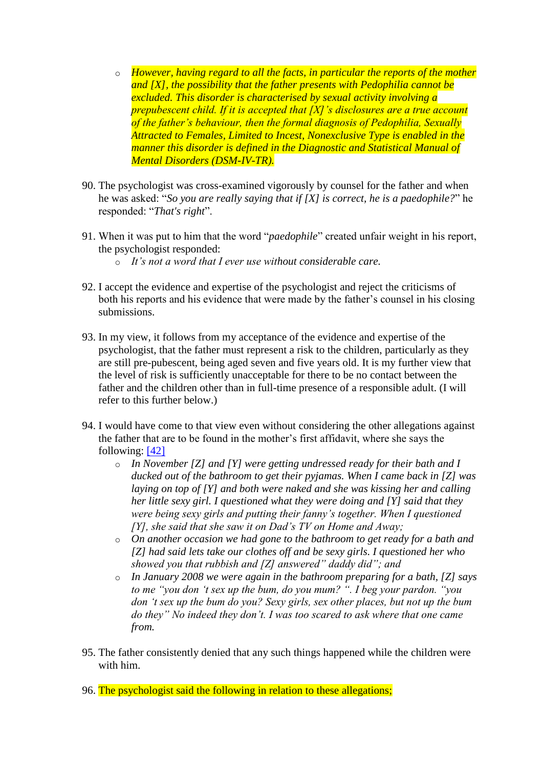- o *However, having regard to all the facts, in particular the reports of the mother and [X], the possibility that the father presents with Pedophilia cannot be excluded. This disorder is characterised by sexual activity involving a prepubescent child. If it is accepted that [X]'s disclosures are a true account of the father's behaviour, then the formal diagnosis of Pedophilia, Sexually Attracted to Females, Limited to Incest, Nonexclusive Type is enabled in the manner this disorder is defined in the Diagnostic and Statistical Manual of Mental Disorders (DSM-IV-TR).*
- 90. The psychologist was cross-examined vigorously by counsel for the father and when he was asked: "*So you are really saying that if [X] is correct, he is a paedophile?*" he responded: "*That's right*".
- 91. When it was put to him that the word "*paedophile*" created unfair weight in his report, the psychologist responded:
	- o *It's not a word that I ever use without considerable care.*
- 92. I accept the evidence and expertise of the psychologist and reject the criticisms of both his reports and his evidence that were made by the father's counsel in his closing submissions.
- 93. In my view, it follows from my acceptance of the evidence and expertise of the psychologist, that the father must represent a risk to the children, particularly as they are still pre-pubescent, being aged seven and five years old. It is my further view that the level of risk is sufficiently unacceptable for there to be no contact between the father and the children other than in full-time presence of a responsible adult. (I will refer to this further below.)
- 94. I would have come to that view even without considering the other allegations against the father that are to be found in the mother's first affidavit, where she says the following: [\[42\]](http://www.austlii.edu.au/cgi-bin/viewdoc/au/cases/cth/FMCAfam/2010/55.html?context=1;query=rivas;mask_path=au/cases/cth/FMCAfam#fn42)
	- o *In November [Z] and [Y] were getting undressed ready for their bath and I ducked out of the bathroom to get their pyjamas. When I came back in [Z] was laying on top of [Y] and both were naked and she was kissing her and calling her little sexy girl. I questioned what they were doing and [Y] said that they were being sexy girls and putting their fanny's together. When I questioned [Y], she said that she saw it on Dad's TV on Home and Away;*
	- o *On another occasion we had gone to the bathroom to get ready for a bath and [Z] had said lets take our clothes off and be sexy girls. I questioned her who showed you that rubbish and [Z] answered" daddy did"; and*
	- o *In January 2008 we were again in the bathroom preparing for a bath, [Z] says to me "you don 't sex up the bum, do you mum? ". I beg your pardon. "you don 't sex up the bum do you? Sexy girls, sex other places, but not up the bum do they" No indeed they don't. I was too scared to ask where that one came from.*
- 95. The father consistently denied that any such things happened while the children were with him.
- 96. The psychologist said the following in relation to these allegations;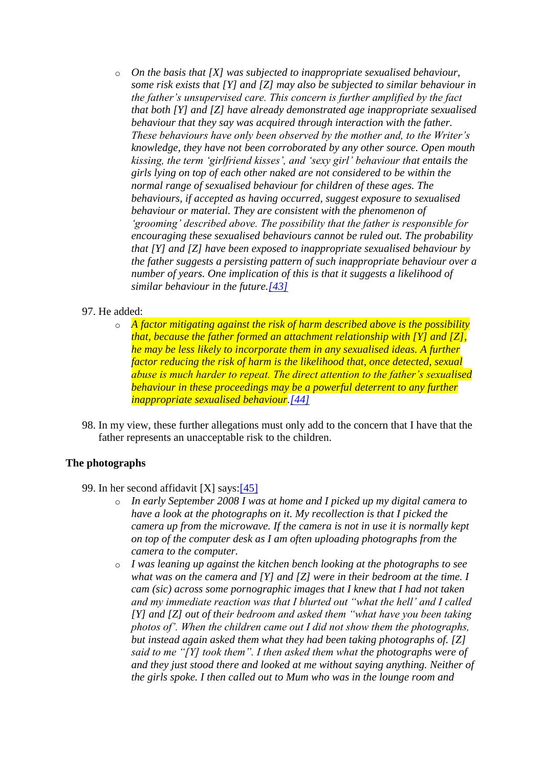- o *On the basis that [X] was subjected to inappropriate sexualised behaviour, some risk exists that [Y] and [Z] may also be subjected to similar behaviour in the father's unsupervised care. This concern is further amplified by the fact that both [Y] and [Z] have already demonstrated age inappropriate sexualised behaviour that they say was acquired through interaction with the father. These behaviours have only been observed by the mother and, to the Writer's knowledge, they have not been corroborated by any other source. Open mouth kissing, the term 'girlfriend kisses', and 'sexy girl' behaviour that entails the girls lying on top of each other naked are not considered to be within the normal range of sexualised behaviour for children of these ages. The behaviours, if accepted as having occurred, suggest exposure to sexualised behaviour or material. They are consistent with the phenomenon of 'grooming' described above. The possibility that the father is responsible for encouraging these sexualised behaviours cannot be ruled out. The probability that [Y] and [Z] have been exposed to inappropriate sexualised behaviour by the father suggests a persisting pattern of such inappropriate behaviour over a number of years. One implication of this is that it suggests a likelihood of similar behaviour in the future[.\[43\]](http://www.austlii.edu.au/cgi-bin/viewdoc/au/cases/cth/FMCAfam/2010/55.html?context=1;query=rivas;mask_path=au/cases/cth/FMCAfam#fn43)*
- 97. He added:
	- o *A factor mitigating against the risk of harm described above is the possibility that, because the father formed an attachment relationship with [Y] and [Z], he may be less likely to incorporate them in any sexualised ideas. A further factor reducing the risk of harm is the likelihood that, once detected, sexual abuse is much harder to repeat. The direct attention to the father's sexualised behaviour in these proceedings may be a powerful deterrent to any further inappropriate sexualised behaviour[.\[44\]](http://www.austlii.edu.au/cgi-bin/viewdoc/au/cases/cth/FMCAfam/2010/55.html?context=1;query=rivas;mask_path=au/cases/cth/FMCAfam#fn44)*
- 98. In my view, these further allegations must only add to the concern that I have that the father represents an unacceptable risk to the children.

# **The photographs**

99. In her second affidavit [X] says[:\[45\]](http://www.austlii.edu.au/cgi-bin/viewdoc/au/cases/cth/FMCAfam/2010/55.html?context=1;query=rivas;mask_path=au/cases/cth/FMCAfam#fn45)

- o *In early September 2008 I was at home and I picked up my digital camera to have a look at the photographs on it. My recollection is that I picked the camera up from the microwave. If the camera is not in use it is normally kept on top of the computer desk as I am often uploading photographs from the camera to the computer.*
- o *I was leaning up against the kitchen bench looking at the photographs to see what was on the camera and [Y] and [Z] were in their bedroom at the time. I cam (sic) across some pornographic images that I knew that I had not taken and my immediate reaction was that I blurted out "what the hell' and I called [Y] and [Z] out of their bedroom and asked them "what have you been taking photos of'. When the children came out I did not show them the photographs, but instead again asked them what they had been taking photographs of. [Z] said to me "[Y] took them". I then asked them what the photographs were of and they just stood there and looked at me without saying anything. Neither of the girls spoke. I then called out to Mum who was in the lounge room and*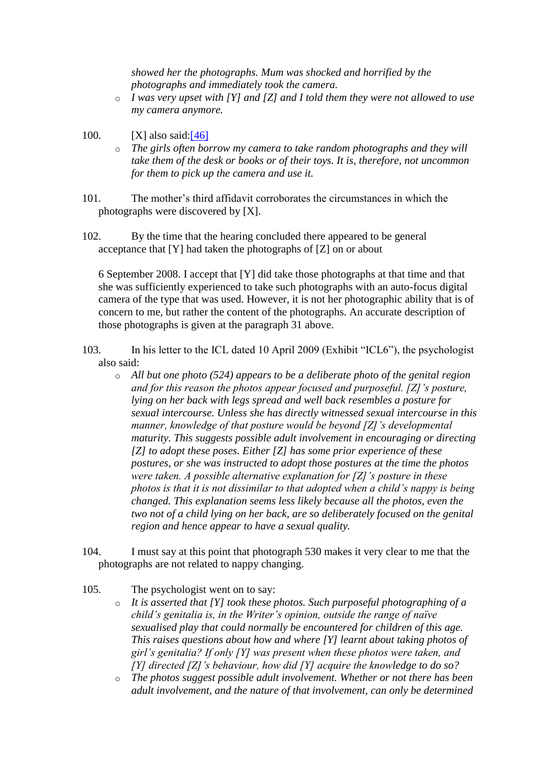*showed her the photographs. Mum was shocked and horrified by the photographs and immediately took the camera.* 

- o *I was very upset with [Y] and [Z] and I told them they were not allowed to use my camera anymore.*
- 100.  $[X]$  also said: $[46]$ 
	- o *The girls often borrow my camera to take random photographs and they will take them of the desk or books or of their toys. It is, therefore, not uncommon for them to pick up the camera and use it.*
- 101. The mother's third affidavit corroborates the circumstances in which the photographs were discovered by [X].
- 102. By the time that the hearing concluded there appeared to be general acceptance that [Y] had taken the photographs of [Z] on or about

6 September 2008. I accept that [Y] did take those photographs at that time and that she was sufficiently experienced to take such photographs with an auto-focus digital camera of the type that was used. However, it is not her photographic ability that is of concern to me, but rather the content of the photographs. An accurate description of those photographs is given at the paragraph 31 above.

103. In his letter to the ICL dated 10 April 2009 (Exhibit "ICL6"), the psychologist also said:

- o *All but one photo (524) appears to be a deliberate photo of the genital region and for this reason the photos appear focused and purposeful. [Z]'s posture, lying on her back with legs spread and well back resembles a posture for sexual intercourse. Unless she has directly witnessed sexual intercourse in this manner, knowledge of that posture would be beyond [Z]'s developmental maturity. This suggests possible adult involvement in encouraging or directing [Z] to adopt these poses. Either [Z] has some prior experience of these postures, or she was instructed to adopt those postures at the time the photos were taken. A possible alternative explanation for [Z]'s posture in these photos is that it is not dissimilar to that adopted when a child's nappy is being changed. This explanation seems less likely because all the photos, even the two not of a child lying on her back, are so deliberately focused on the genital region and hence appear to have a sexual quality.*
- 104. I must say at this point that photograph 530 makes it very clear to me that the photographs are not related to nappy changing.
- 105. The psychologist went on to say:
	- o *It is asserted that [Y] took these photos. Such purposeful photographing of a child's genitalia is, in the Writer's opinion, outside the range of naïve sexualised play that could normally be encountered for children of this age. This raises questions about how and where [Y] learnt about taking photos of girl's genitalia? If only [Y] was present when these photos were taken, and [Y] directed [Z]'s behaviour, how did [Y] acquire the knowledge to do so?*
	- o *The photos suggest possible adult involvement. Whether or not there has been adult involvement, and the nature of that involvement, can only be determined*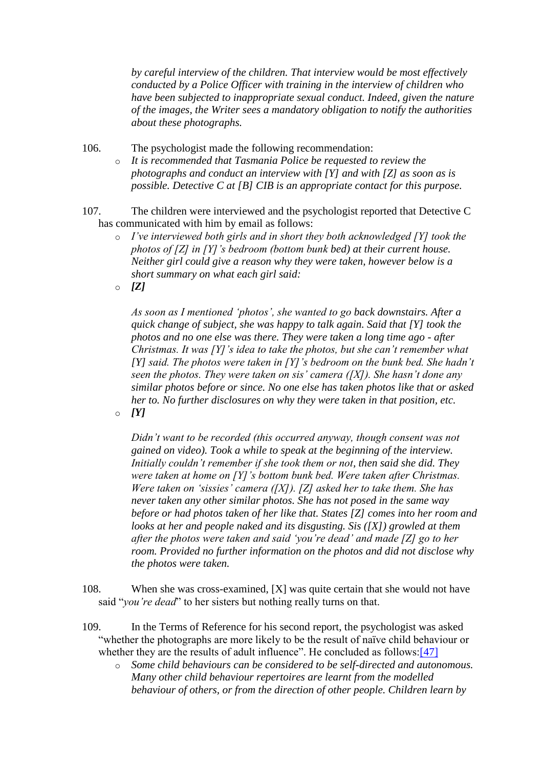*by careful interview of the children. That interview would be most effectively conducted by a Police Officer with training in the interview of children who have been subjected to inappropriate sexual conduct. Indeed, given the nature of the images, the Writer sees a mandatory obligation to notify the authorities about these photographs.*

106. The psychologist made the following recommendation:

- o *It is recommended that Tasmania Police be requested to review the photographs and conduct an interview with [Y] and with [Z] as soon as is possible. Detective C at [B] CIB is an appropriate contact for this purpose.*
- 107. The children were interviewed and the psychologist reported that Detective C has communicated with him by email as follows:
	- o *I've interviewed both girls and in short they both acknowledged [Y] took the photos of [Z] in [Y]'s bedroom (bottom bunk bed) at their current house. Neither girl could give a reason why they were taken, however below is a short summary on what each girl said:*
	- $\circ$  **[Z]**

*As soon as I mentioned 'photos', she wanted to go back downstairs. After a quick change of subject, she was happy to talk again. Said that [Y] took the photos and no one else was there. They were taken a long time ago - after Christmas. It was [Y]'s idea to take the photos, but she can't remember what [Y] said. The photos were taken in [Y]'s bedroom on the bunk bed. She hadn't seen the photos. They were taken on sis' camera ([X]). She hasn't done any similar photos before or since. No one else has taken photos like that or asked her to. No further disclosures on why they were taken in that position, etc.*   $\circ$  *[Y]* 

*Didn't want to be recorded (this occurred anyway, though consent was not gained on video). Took a while to speak at the beginning of the interview. Initially couldn't remember if she took them or not, then said she did. They were taken at home on [Y]'s bottom bunk bed. Were taken after Christmas. Were taken on 'sissies' camera ([X]). [Z] asked her to take them. She has never taken any other similar photos. She has not posed in the same way before or had photos taken of her like that. States [Z] comes into her room and looks at her and people naked and its disgusting. Sis ([X]) growled at them after the photos were taken and said 'you're dead' and made [Z] go to her room. Provided no further information on the photos and did not disclose why the photos were taken.*

- 108. When she was cross-examined, [X] was quite certain that she would not have said "*you're dead*" to her sisters but nothing really turns on that.
- 109. In the Terms of Reference for his second report, the psychologist was asked "whether the photographs are more likely to be the result of naïve child behaviour or whether they are the results of adult influence". He concluded as follows[:\[47\]](http://www.austlii.edu.au/cgi-bin/viewdoc/au/cases/cth/FMCAfam/2010/55.html?context=1;query=rivas;mask_path=au/cases/cth/FMCAfam#fn47)
	- o *Some child behaviours can be considered to be self-directed and autonomous. Many other child behaviour repertoires are learnt from the modelled behaviour of others, or from the direction of other people. Children learn by*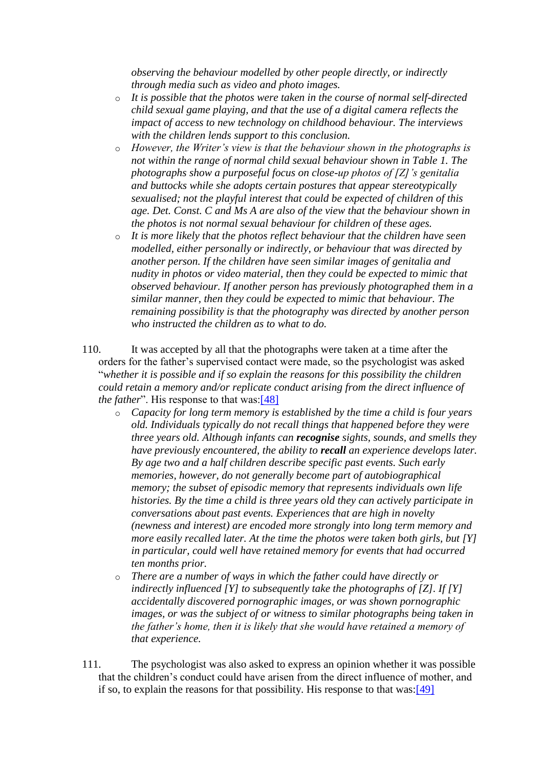*observing the behaviour modelled by other people directly, or indirectly through media such as video and photo images.* 

- o *It is possible that the photos were taken in the course of normal self-directed child sexual game playing, and that the use of a digital camera reflects the impact of access to new technology on childhood behaviour. The interviews with the children lends support to this conclusion.*
- o *However, the Writer's view is that the behaviour shown in the photographs is not within the range of normal child sexual behaviour shown in Table 1. The photographs show a purposeful focus on close-up photos of [Z]'s genitalia and buttocks while she adopts certain postures that appear stereotypically sexualised; not the playful interest that could be expected of children of this age. Det. Const. C and Ms A are also of the view that the behaviour shown in the photos is not normal sexual behaviour for children of these ages.*
- o *It is more likely that the photos reflect behaviour that the children have seen modelled, either personally or indirectly, or behaviour that was directed by another person. If the children have seen similar images of genitalia and nudity in photos or video material, then they could be expected to mimic that observed behaviour. If another person has previously photographed them in a similar manner, then they could be expected to mimic that behaviour. The remaining possibility is that the photography was directed by another person who instructed the children as to what to do.*
- 110. It was accepted by all that the photographs were taken at a time after the orders for the father's supervised contact were made, so the psychologist was asked "*whether it is possible and if so explain the reasons for this possibility the children could retain a memory and/or replicate conduct arising from the direct influence of the father*". His response to that was[:\[48\]](http://www.austlii.edu.au/cgi-bin/viewdoc/au/cases/cth/FMCAfam/2010/55.html?context=1;query=rivas;mask_path=au/cases/cth/FMCAfam#fn48)
	- o *Capacity for long term memory is established by the time a child is four years old. Individuals typically do not recall things that happened before they were three years old. Although infants can recognise sights, sounds, and smells they have previously encountered, the ability to recall an experience develops later. By age two and a half children describe specific past events. Such early memories, however, do not generally become part of autobiographical memory; the subset of episodic memory that represents individuals own life histories. By the time a child is three years old they can actively participate in conversations about past events. Experiences that are high in novelty (newness and interest) are encoded more strongly into long term memory and more easily recalled later. At the time the photos were taken both girls, but [Y] in particular, could well have retained memory for events that had occurred ten months prior.*
	- o *There are a number of ways in which the father could have directly or indirectly influenced [Y] to subsequently take the photographs of [Z]. If [Y] accidentally discovered pornographic images, or was shown pornographic images, or was the subject of or witness to similar photographs being taken in the father's home, then it is likely that she would have retained a memory of that experience.*
- 111. The psychologist was also asked to express an opinion whether it was possible that the children's conduct could have arisen from the direct influence of mother, and if so, to explain the reasons for that possibility. His response to that was[:\[49\]](http://www.austlii.edu.au/cgi-bin/viewdoc/au/cases/cth/FMCAfam/2010/55.html?context=1;query=rivas;mask_path=au/cases/cth/FMCAfam#fn49)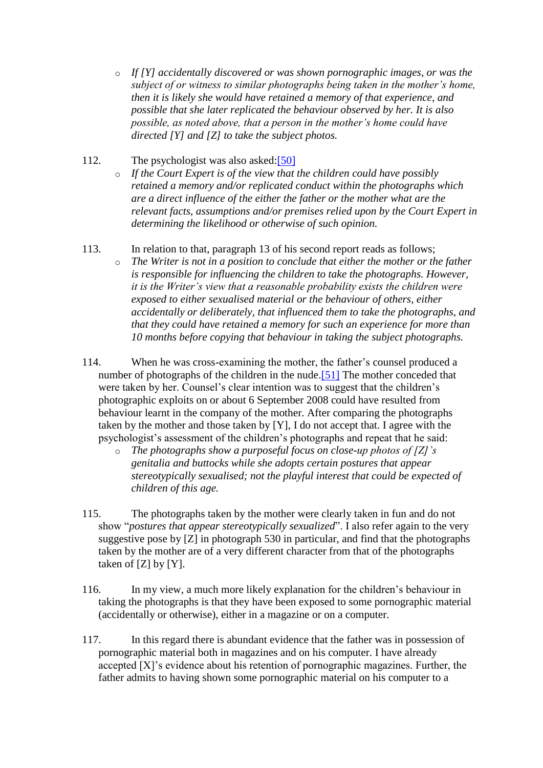- o *If [Y] accidentally discovered or was shown pornographic images, or was the subject of or witness to similar photographs being taken in the mother's home, then it is likely she would have retained a memory of that experience, and possible that she later replicated the behaviour observed by her. It is also possible, as noted above, that a person in the mother's home could have directed [Y] and [Z] to take the subject photos.*
- 112. The psychologist was also asked[:\[50\]](http://www.austlii.edu.au/cgi-bin/viewdoc/au/cases/cth/FMCAfam/2010/55.html?context=1;query=rivas;mask_path=au/cases/cth/FMCAfam#fn50)
	- o *If the Court Expert is of the view that the children could have possibly retained a memory and/or replicated conduct within the photographs which are a direct influence of the either the father or the mother what are the relevant facts, assumptions and/or premises relied upon by the Court Expert in determining the likelihood or otherwise of such opinion.*
- 113. In relation to that, paragraph 13 of his second report reads as follows; o *The Writer is not in a position to conclude that either the mother or the father is responsible for influencing the children to take the photographs. However, it is the Writer's view that a reasonable probability exists the children were exposed to either sexualised material or the behaviour of others, either accidentally or deliberately, that influenced them to take the photographs, and that they could have retained a memory for such an experience for more than 10 months before copying that behaviour in taking the subject photographs.*
- 114. When he was cross-examining the mother, the father's counsel produced a number of photographs of the children in the nude.<sup>[51]</sup> The mother conceded that were taken by her. Counsel's clear intention was to suggest that the children's photographic exploits on or about 6 September 2008 could have resulted from behaviour learnt in the company of the mother. After comparing the photographs taken by the mother and those taken by [Y], I do not accept that. I agree with the psychologist's assessment of the children's photographs and repeat that he said:
	- o *The photographs show a purposeful focus on close-up photos of [Z]'s genitalia and buttocks while she adopts certain postures that appear stereotypically sexualised; not the playful interest that could be expected of children of this age.*
- 115. The photographs taken by the mother were clearly taken in fun and do not show "*postures that appear stereotypically sexualized*". I also refer again to the very suggestive pose by [Z] in photograph 530 in particular, and find that the photographs taken by the mother are of a very different character from that of the photographs taken of [Z] by [Y].
- 116. In my view, a much more likely explanation for the children's behaviour in taking the photographs is that they have been exposed to some pornographic material (accidentally or otherwise), either in a magazine or on a computer.
- 117. In this regard there is abundant evidence that the father was in possession of pornographic material both in magazines and on his computer. I have already accepted [X]'s evidence about his retention of pornographic magazines. Further, the father admits to having shown some pornographic material on his computer to a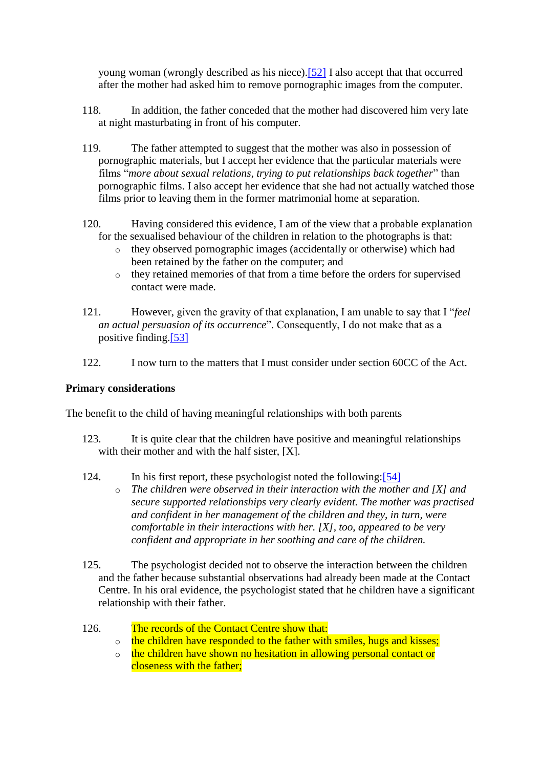young woman (wrongly described as his niece)[.\[52\]](http://www.austlii.edu.au/cgi-bin/viewdoc/au/cases/cth/FMCAfam/2010/55.html?context=1;query=rivas;mask_path=au/cases/cth/FMCAfam#fn52) I also accept that that occurred after the mother had asked him to remove pornographic images from the computer.

- 118. In addition, the father conceded that the mother had discovered him very late at night masturbating in front of his computer.
- 119. The father attempted to suggest that the mother was also in possession of pornographic materials, but I accept her evidence that the particular materials were films "*more about sexual relations, trying to put relationships back together*" than pornographic films. I also accept her evidence that she had not actually watched those films prior to leaving them in the former matrimonial home at separation.
- 120. Having considered this evidence, I am of the view that a probable explanation for the sexualised behaviour of the children in relation to the photographs is that:
	- o they observed pornographic images (accidentally or otherwise) which had been retained by the father on the computer; and
	- o they retained memories of that from a time before the orders for supervised contact were made.
- 121. However, given the gravity of that explanation, I am unable to say that I "*feel an actual persuasion of its occurrence*". Consequently, I do not make that as a positive finding[.\[53\]](http://www.austlii.edu.au/cgi-bin/viewdoc/au/cases/cth/FMCAfam/2010/55.html?context=1;query=rivas;mask_path=au/cases/cth/FMCAfam#fn53)
- 122. I now turn to the matters that I must consider under section 60CC of the Act.

## **Primary considerations**

The benefit to the child of having meaningful relationships with both parents

- 123. It is quite clear that the children have positive and meaningful relationships with their mother and with the half sister, [X].
- 124. In his first report, these psychologist noted the following[:\[54\]](http://www.austlii.edu.au/cgi-bin/viewdoc/au/cases/cth/FMCAfam/2010/55.html?context=1;query=rivas;mask_path=au/cases/cth/FMCAfam#fn54)
	- o *The children were observed in their interaction with the mother and [X] and secure supported relationships very clearly evident. The mother was practised and confident in her management of the children and they, in turn, were comfortable in their interactions with her. [X], too, appeared to be very confident and appropriate in her soothing and care of the children.*
- 125. The psychologist decided not to observe the interaction between the children and the father because substantial observations had already been made at the Contact Centre. In his oral evidence, the psychologist stated that he children have a significant relationship with their father.
- 126. The records of the Contact Centre show that:
	- o the children have responded to the father with smiles, hugs and kisses;
	- o the children have shown no hesitation in allowing personal contact or closeness with the father;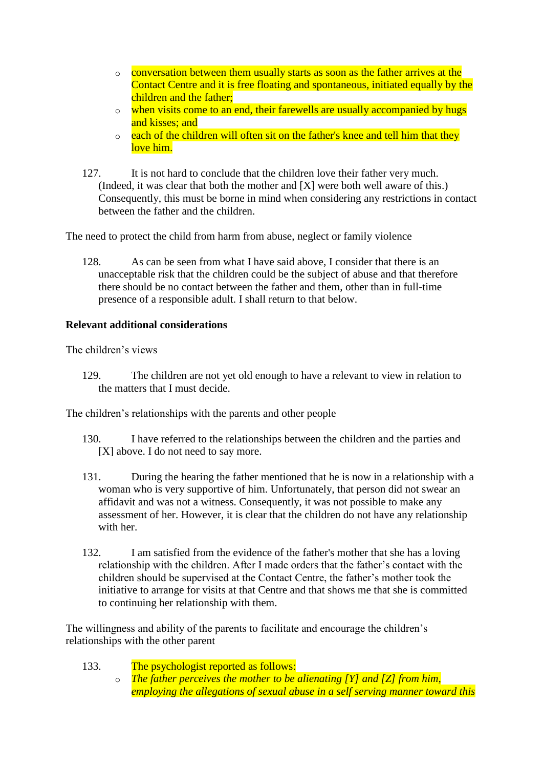- o conversation between them usually starts as soon as the father arrives at the Contact Centre and it is free floating and spontaneous, initiated equally by the children and the father;
- o when visits come to an end, their farewells are usually accompanied by hugs and kisses; and
- $\circ$  each of the children will often sit on the father's knee and tell him that they love him.
- 127. It is not hard to conclude that the children love their father very much. (Indeed, it was clear that both the mother and [X] were both well aware of this.) Consequently, this must be borne in mind when considering any restrictions in contact between the father and the children.

The need to protect the child from harm from abuse, neglect or family violence

128. As can be seen from what I have said above, I consider that there is an unacceptable risk that the children could be the subject of abuse and that therefore there should be no contact between the father and them, other than in full-time presence of a responsible adult. I shall return to that below.

## **Relevant additional considerations**

The children's views

129. The children are not yet old enough to have a relevant to view in relation to the matters that I must decide.

The children's relationships with the parents and other people

- 130. I have referred to the relationships between the children and the parties and [X] above. I do not need to say more.
- 131. During the hearing the father mentioned that he is now in a relationship with a woman who is very supportive of him. Unfortunately, that person did not swear an affidavit and was not a witness. Consequently, it was not possible to make any assessment of her. However, it is clear that the children do not have any relationship with her.
- 132. I am satisfied from the evidence of the father's mother that she has a loving relationship with the children. After I made orders that the father's contact with the children should be supervised at the Contact Centre, the father's mother took the initiative to arrange for visits at that Centre and that shows me that she is committed to continuing her relationship with them.

The willingness and ability of the parents to facilitate and encourage the children's relationships with the other parent

- 133. The psychologist reported as follows:
	- o *The father perceives the mother to be alienating [Y] and [Z] from him, employing the allegations of sexual abuse in a self serving manner toward this*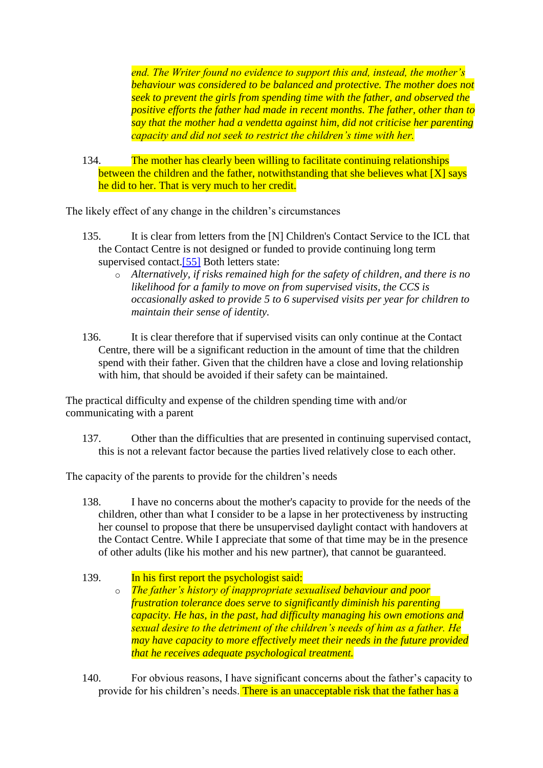*end. The Writer found no evidence to support this and, instead, the mother's behaviour was considered to be balanced and protective. The mother does not seek to prevent the girls from spending time with the father, and observed the positive efforts the father had made in recent months. The father, other than to say that the mother had a vendetta against him, did not criticise her parenting capacity and did not seek to restrict the children's time with her.*

134. The mother has clearly been willing to facilitate continuing relationships between the children and the father, notwithstanding that she believes what [X] says he did to her. That is very much to her credit.

The likely effect of any change in the children's circumstances

- 135. It is clear from letters from the [N] Children's Contact Service to the ICL that the Contact Centre is not designed or funded to provide continuing long term supervised contact.<sup>[55]</sup> Both letters state:
	- o *Alternatively, if risks remained high for the safety of children, and there is no likelihood for a family to move on from supervised visits, the CCS is occasionally asked to provide 5 to 6 supervised visits per year for children to maintain their sense of identity.*
- 136. It is clear therefore that if supervised visits can only continue at the Contact Centre, there will be a significant reduction in the amount of time that the children spend with their father. Given that the children have a close and loving relationship with him, that should be avoided if their safety can be maintained.

The practical difficulty and expense of the children spending time with and/or communicating with a parent

137. Other than the difficulties that are presented in continuing supervised contact, this is not a relevant factor because the parties lived relatively close to each other.

The capacity of the parents to provide for the children's needs

- 138. I have no concerns about the mother's capacity to provide for the needs of the children, other than what I consider to be a lapse in her protectiveness by instructing her counsel to propose that there be unsupervised daylight contact with handovers at the Contact Centre. While I appreciate that some of that time may be in the presence of other adults (like his mother and his new partner), that cannot be guaranteed.
- 139. In his first report the psychologist said: o *The father's history of inappropriate sexualised behaviour and poor frustration tolerance does serve to significantly diminish his parenting capacity. He has, in the past, had difficulty managing his own emotions and sexual desire to the detriment of the children's needs of him as a father. He may have capacity to more effectively meet their needs in the future provided that he receives adequate psychological treatment.*
- 140. For obvious reasons, I have significant concerns about the father's capacity to provide for his children's needs. There is an unacceptable risk that the father has a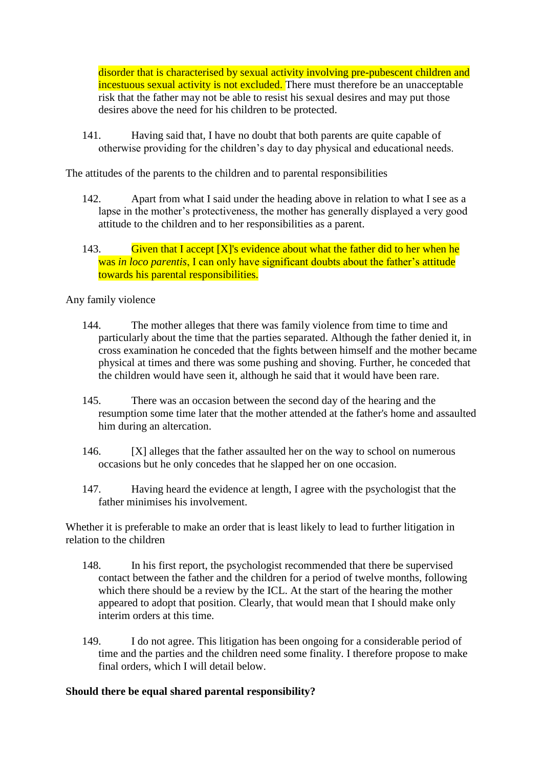disorder that is characterised by sexual activity involving pre-pubescent children and incestuous sexual activity is not excluded. There must therefore be an unacceptable risk that the father may not be able to resist his sexual desires and may put those desires above the need for his children to be protected.

141. Having said that, I have no doubt that both parents are quite capable of otherwise providing for the children's day to day physical and educational needs.

The attitudes of the parents to the children and to parental responsibilities

- 142. Apart from what I said under the heading above in relation to what I see as a lapse in the mother's protectiveness, the mother has generally displayed a very good attitude to the children and to her responsibilities as a parent.
- 143. Given that I accept  $[X]$ 's evidence about what the father did to her when he was *in loco parentis*, I can only have significant doubts about the father's attitude towards his parental responsibilities.

## Any family violence

- 144. The mother alleges that there was family violence from time to time and particularly about the time that the parties separated. Although the father denied it, in cross examination he conceded that the fights between himself and the mother became physical at times and there was some pushing and shoving. Further, he conceded that the children would have seen it, although he said that it would have been rare.
- 145. There was an occasion between the second day of the hearing and the resumption some time later that the mother attended at the father's home and assaulted him during an altercation.
- 146. [X] alleges that the father assaulted her on the way to school on numerous occasions but he only concedes that he slapped her on one occasion.
- 147. Having heard the evidence at length, I agree with the psychologist that the father minimises his involvement.

Whether it is preferable to make an order that is least likely to lead to further litigation in relation to the children

- 148. In his first report, the psychologist recommended that there be supervised contact between the father and the children for a period of twelve months, following which there should be a review by the ICL. At the start of the hearing the mother appeared to adopt that position. Clearly, that would mean that I should make only interim orders at this time.
- 149. I do not agree. This litigation has been ongoing for a considerable period of time and the parties and the children need some finality. I therefore propose to make final orders, which I will detail below.

# **Should there be equal shared parental responsibility?**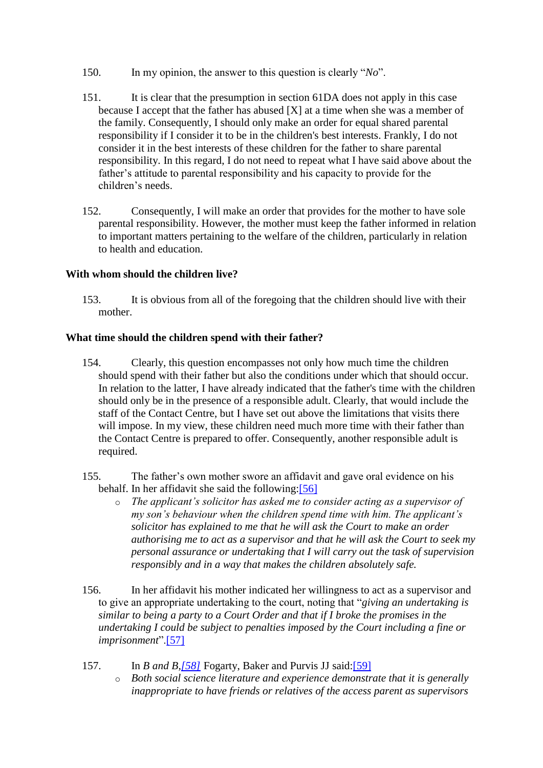- 150. In my opinion, the answer to this question is clearly "*No*".
- 151. It is clear that the presumption in section 61DA does not apply in this case because I accept that the father has abused [X] at a time when she was a member of the family. Consequently, I should only make an order for equal shared parental responsibility if I consider it to be in the children's best interests. Frankly, I do not consider it in the best interests of these children for the father to share parental responsibility. In this regard, I do not need to repeat what I have said above about the father's attitude to parental responsibility and his capacity to provide for the children's needs.
- 152. Consequently, I will make an order that provides for the mother to have sole parental responsibility. However, the mother must keep the father informed in relation to important matters pertaining to the welfare of the children, particularly in relation to health and education.

# **With whom should the children live?**

153. It is obvious from all of the foregoing that the children should live with their mother.

## **What time should the children spend with their father?**

- 154. Clearly, this question encompasses not only how much time the children should spend with their father but also the conditions under which that should occur. In relation to the latter, I have already indicated that the father's time with the children should only be in the presence of a responsible adult. Clearly, that would include the staff of the Contact Centre, but I have set out above the limitations that visits there will impose. In my view, these children need much more time with their father than the Contact Centre is prepared to offer. Consequently, another responsible adult is required.
- 155. The father's own mother swore an affidavit and gave oral evidence on his behalf. In her affidavit she said the following[:\[56\]](http://www.austlii.edu.au/cgi-bin/viewdoc/au/cases/cth/FMCAfam/2010/55.html?context=1;query=rivas;mask_path=au/cases/cth/FMCAfam#fn56)
	- o *The applicant's solicitor has asked me to consider acting as a supervisor of my son's behaviour when the children spend time with him. The applicant's solicitor has explained to me that he will ask the Court to make an order authorising me to act as a supervisor and that he will ask the Court to seek my personal assurance or undertaking that I will carry out the task of supervision responsibly and in a way that makes the children absolutely safe.*
- 156. In her affidavit his mother indicated her willingness to act as a supervisor and to give an appropriate undertaking to the court, noting that "*giving an undertaking is similar to being a party to a Court Order and that if I broke the promises in the undertaking I could be subject to penalties imposed by the Court including a fine or imprisonment*"[.\[57\]](http://www.austlii.edu.au/cgi-bin/viewdoc/au/cases/cth/FMCAfam/2010/55.html?context=1;query=rivas;mask_path=au/cases/cth/FMCAfam#fn57)
- 157. In *B and B[,\[58\]](http://www.austlii.edu.au/cgi-bin/viewdoc/au/cases/cth/FMCAfam/2010/55.html?context=1;query=rivas;mask_path=au/cases/cth/FMCAfam#fn58)* Fogarty, Baker and Purvis JJ said[:\[59\]](http://www.austlii.edu.au/cgi-bin/viewdoc/au/cases/cth/FMCAfam/2010/55.html?context=1;query=rivas;mask_path=au/cases/cth/FMCAfam#fn59)
	- o *Both social science literature and experience demonstrate that it is generally inappropriate to have friends or relatives of the access parent as supervisors*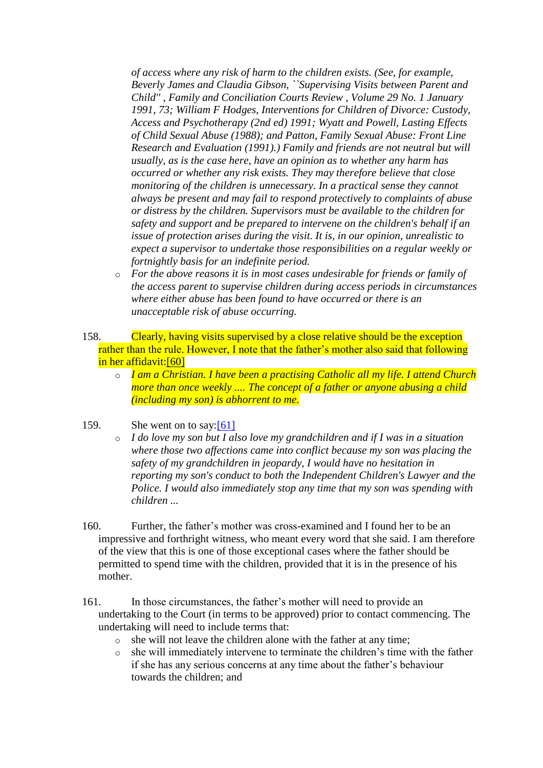*of access where any risk of harm to the children exists. (See, for example, Beverly James and Claudia Gibson, ``Supervising Visits between Parent and Child'' , Family and Conciliation Courts Review , Volume 29 No. 1 January 1991, 73; William F Hodges, Interventions for Children of Divorce: Custody, Access and Psychotherapy (2nd ed) 1991; Wyatt and Powell, Lasting Effects of Child Sexual Abuse (1988); and Patton, Family Sexual Abuse: Front Line Research and Evaluation (1991).) Family and friends are not neutral but will usually, as is the case here, have an opinion as to whether any harm has occurred or whether any risk exists. They may therefore believe that close monitoring of the children is unnecessary. In a practical sense they cannot always be present and may fail to respond protectively to complaints of abuse or distress by the children. Supervisors must be available to the children for safety and support and be prepared to intervene on the children's behalf if an issue of protection arises during the visit. It is, in our opinion, unrealistic to expect a supervisor to undertake those responsibilities on a regular weekly or fortnightly basis for an indefinite period.* 

o *For the above reasons it is in most cases undesirable for friends or family of the access parent to supervise children during access periods in circumstances where either abuse has been found to have occurred or there is an unacceptable risk of abuse occurring.*

158. Clearly, having visits supervised by a close relative should be the exception rather than the rule. However, I note that the father's mother also said that following in her affidavit[:\[60\]](http://www.austlii.edu.au/cgi-bin/viewdoc/au/cases/cth/FMCAfam/2010/55.html?context=1;query=rivas;mask_path=au/cases/cth/FMCAfam#fn60)

o *I am a Christian. I have been a practising Catholic all my life. I attend Church more than once weekly .... The concept of a father or anyone abusing a child (including my son) is abhorrent to me.*

## 159. She went on to say[:\[61\]](http://www.austlii.edu.au/cgi-bin/viewdoc/au/cases/cth/FMCAfam/2010/55.html?context=1;query=rivas;mask_path=au/cases/cth/FMCAfam#fn61)

- o *I do love my son but I also love my grandchildren and if I was in a situation where those two affections came into conflict because my son was placing the safety of my grandchildren in jeopardy, I would have no hesitation in reporting my son's conduct to both the Independent Children's Lawyer and the Police. I would also immediately stop any time that my son was spending with children ...*
- 160. Further, the father's mother was cross-examined and I found her to be an impressive and forthright witness, who meant every word that she said. I am therefore of the view that this is one of those exceptional cases where the father should be permitted to spend time with the children, provided that it is in the presence of his mother.
- 161. In those circumstances, the father's mother will need to provide an undertaking to the Court (in terms to be approved) prior to contact commencing. The undertaking will need to include terms that:
	- o she will not leave the children alone with the father at any time;
	- o she will immediately intervene to terminate the children's time with the father if she has any serious concerns at any time about the father's behaviour towards the children; and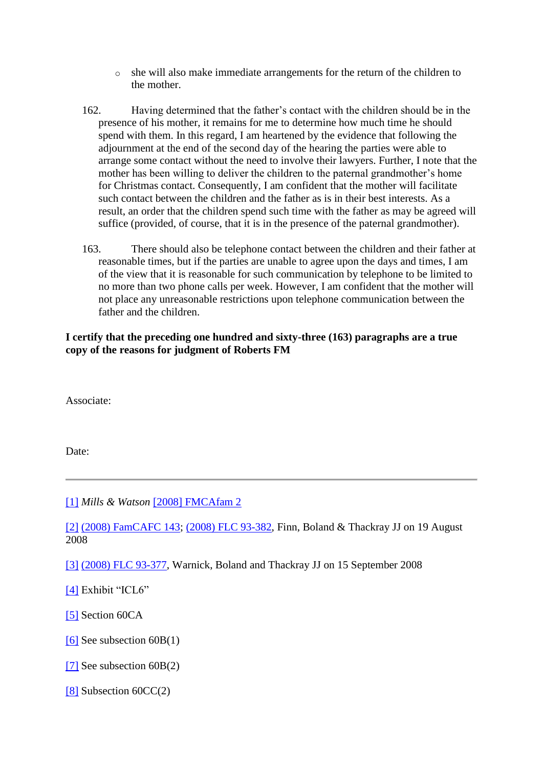- o she will also make immediate arrangements for the return of the children to the mother.
- 162. Having determined that the father's contact with the children should be in the presence of his mother, it remains for me to determine how much time he should spend with them. In this regard, I am heartened by the evidence that following the adjournment at the end of the second day of the hearing the parties were able to arrange some contact without the need to involve their lawyers. Further, I note that the mother has been willing to deliver the children to the paternal grandmother's home for Christmas contact. Consequently, I am confident that the mother will facilitate such contact between the children and the father as is in their best interests. As a result, an order that the children spend such time with the father as may be agreed will suffice (provided, of course, that it is in the presence of the paternal grandmother).
- 163. There should also be telephone contact between the children and their father at reasonable times, but if the parties are unable to agree upon the days and times, I am of the view that it is reasonable for such communication by telephone to be limited to no more than two phone calls per week. However, I am confident that the mother will not place any unreasonable restrictions upon telephone communication between the father and the children.

**I certify that the preceding one hundred and sixty-three (163) paragraphs are a true copy of the reasons for judgment of Roberts FM**

Associate:

Date:

[\[1\]](http://www.austlii.edu.au/cgi-bin/viewdoc/au/cases/cth/FMCAfam/2010/55.html?context=1;query=rivas;mask_path=au/cases/cth/FMCAfam#fnB1) *Mills & Watson* [\[2008\] FMCAfam 2](http://www.austlii.edu.au/cgi-bin/viewdoc/au/cases/cth/FMCAfam/2008/2.html)

[\[2\]](http://www.austlii.edu.au/cgi-bin/viewdoc/au/cases/cth/FMCAfam/2010/55.html?context=1;query=rivas;mask_path=au/cases/cth/FMCAfam#fnB2) [\(2008\) FamCAFC 143;](http://www.austlii.edu.au/cgi-bin/viewdoc/au/cases/cth/FamCAFC/2008/143.html) [\(2008\) FLC 93-382,](http://www.austlii.edu.au/cgi-bin/LawCite?cit=%282008%29%20FLC%2093%2d382) Finn, Boland & Thackray JJ on 19 August 2008

[\[3\]](http://www.austlii.edu.au/cgi-bin/viewdoc/au/cases/cth/FMCAfam/2010/55.html?context=1;query=rivas;mask_path=au/cases/cth/FMCAfam#fnB3) [\(2008\) FLC 93-377,](http://www.austlii.edu.au/cgi-bin/LawCite?cit=%282008%29%20FLC%2093%2d377) Warnick, Boland and Thackray JJ on 15 September 2008

[\[4\]](http://www.austlii.edu.au/cgi-bin/viewdoc/au/cases/cth/FMCAfam/2010/55.html?context=1;query=rivas;mask_path=au/cases/cth/FMCAfam#fnB4) Exhibit "ICL6"

[\[5\]](http://www.austlii.edu.au/cgi-bin/viewdoc/au/cases/cth/FMCAfam/2010/55.html?context=1;query=rivas;mask_path=au/cases/cth/FMCAfam#fnB5) Section 60CA

[\[6\]](http://www.austlii.edu.au/cgi-bin/viewdoc/au/cases/cth/FMCAfam/2010/55.html?context=1;query=rivas;mask_path=au/cases/cth/FMCAfam#fnB6) See subsection  $60B(1)$ 

[\[7\]](http://www.austlii.edu.au/cgi-bin/viewdoc/au/cases/cth/FMCAfam/2010/55.html?context=1;query=rivas;mask_path=au/cases/cth/FMCAfam#fnB7) See subsection 60B(2)

[\[8\]](http://www.austlii.edu.au/cgi-bin/viewdoc/au/cases/cth/FMCAfam/2010/55.html?context=1;query=rivas;mask_path=au/cases/cth/FMCAfam#fnB8) Subsection 60CC(2)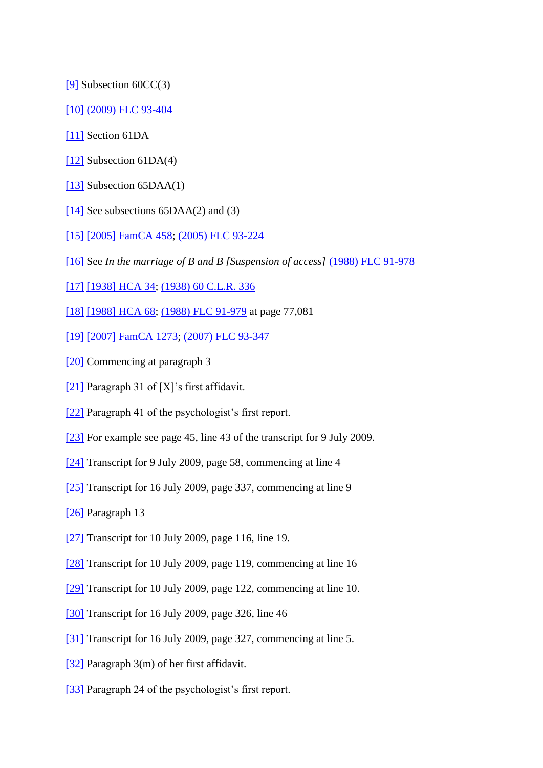[\[9\]](http://www.austlii.edu.au/cgi-bin/viewdoc/au/cases/cth/FMCAfam/2010/55.html?context=1;query=rivas;mask_path=au/cases/cth/FMCAfam#fnB9) Subsection 60CC(3)

[\[10\]](http://www.austlii.edu.au/cgi-bin/viewdoc/au/cases/cth/FMCAfam/2010/55.html?context=1;query=rivas;mask_path=au/cases/cth/FMCAfam#fnB10) [\(2009\) FLC 93-404](http://www.austlii.edu.au/cgi-bin/LawCite?cit=%282009%29%20FLC%2093%2d404)

[\[11\]](http://www.austlii.edu.au/cgi-bin/viewdoc/au/cases/cth/FMCAfam/2010/55.html?context=1;query=rivas;mask_path=au/cases/cth/FMCAfam#fnB11) Section 61DA

- [\[12\]](http://www.austlii.edu.au/cgi-bin/viewdoc/au/cases/cth/FMCAfam/2010/55.html?context=1;query=rivas;mask_path=au/cases/cth/FMCAfam#fnB12) Subsection 61DA(4)
- [\[13\]](http://www.austlii.edu.au/cgi-bin/viewdoc/au/cases/cth/FMCAfam/2010/55.html?context=1;query=rivas;mask_path=au/cases/cth/FMCAfam#fnB13) Subsection 65DAA(1)
- $[14]$  See subsections 65DAA(2) and (3)
- [\[15\]](http://www.austlii.edu.au/cgi-bin/viewdoc/au/cases/cth/FMCAfam/2010/55.html?context=1;query=rivas;mask_path=au/cases/cth/FMCAfam#fnB15) [\[2005\] FamCA 458;](http://www.austlii.edu.au/cgi-bin/viewdoc/au/cases/cth/FamCA/2005/458.html) [\(2005\) FLC 93-224](http://www.austlii.edu.au/cgi-bin/LawCite?cit=%282005%29%20FLC%2093%2d224)

[\[16\]](http://www.austlii.edu.au/cgi-bin/viewdoc/au/cases/cth/FMCAfam/2010/55.html?context=1;query=rivas;mask_path=au/cases/cth/FMCAfam#fnB16) See *In the marriage of B and B [Suspension of access]* [\(1988\) FLC 91-978](http://www.austlii.edu.au/cgi-bin/LawCite?cit=%281988%29%20FLC%2091%2d978)

[\[17\]](http://www.austlii.edu.au/cgi-bin/viewdoc/au/cases/cth/FMCAfam/2010/55.html?context=1;query=rivas;mask_path=au/cases/cth/FMCAfam#fnB17) [\[1938\] HCA 34;](http://www.austlii.edu.au/cgi-bin/viewdoc/au/cases/cth/HCA/1938/34.html) [\(1938\) 60 C.L.R. 336](http://www.austlii.edu.au/cgi-bin/LawCite?cit=%281938%29%2060%20CLR%20336)

[\[18\]](http://www.austlii.edu.au/cgi-bin/viewdoc/au/cases/cth/FMCAfam/2010/55.html?context=1;query=rivas;mask_path=au/cases/cth/FMCAfam#fnB18) [\[1988\] HCA 68;](http://www.austlii.edu.au/cgi-bin/viewdoc/au/cases/cth/HCA/1988/68.html) [\(1988\) FLC 91-979](http://www.austlii.edu.au/cgi-bin/LawCite?cit=%281988%29%20FLC%2091%2d979) at page 77,081

[\[19\]](http://www.austlii.edu.au/cgi-bin/viewdoc/au/cases/cth/FMCAfam/2010/55.html?context=1;query=rivas;mask_path=au/cases/cth/FMCAfam#fnB19) [\[2007\] FamCA 1273;](http://www.austlii.edu.au/cgi-bin/viewdoc/au/cases/cth/FamCA/2007/1273.html) [\(2007\) FLC 93-347](http://www.austlii.edu.au/cgi-bin/LawCite?cit=%282007%29%20FLC%2093%2d347)

- [\[20\]](http://www.austlii.edu.au/cgi-bin/viewdoc/au/cases/cth/FMCAfam/2010/55.html?context=1;query=rivas;mask_path=au/cases/cth/FMCAfam#fnB20) Commencing at paragraph 3
- [\[21\]](http://www.austlii.edu.au/cgi-bin/viewdoc/au/cases/cth/FMCAfam/2010/55.html?context=1;query=rivas;mask_path=au/cases/cth/FMCAfam#fnB21) Paragraph 31 of [X]'s first affidavit.
- [\[22\]](http://www.austlii.edu.au/cgi-bin/viewdoc/au/cases/cth/FMCAfam/2010/55.html?context=1;query=rivas;mask_path=au/cases/cth/FMCAfam#fnB22) Paragraph 41 of the psychologist's first report.
- [\[23\]](http://www.austlii.edu.au/cgi-bin/viewdoc/au/cases/cth/FMCAfam/2010/55.html?context=1;query=rivas;mask_path=au/cases/cth/FMCAfam#fnB23) For example see page 45, line 43 of the transcript for 9 July 2009.
- [\[24\]](http://www.austlii.edu.au/cgi-bin/viewdoc/au/cases/cth/FMCAfam/2010/55.html?context=1;query=rivas;mask_path=au/cases/cth/FMCAfam#fnB24) Transcript for 9 July 2009, page 58, commencing at line 4
- [\[25\]](http://www.austlii.edu.au/cgi-bin/viewdoc/au/cases/cth/FMCAfam/2010/55.html?context=1;query=rivas;mask_path=au/cases/cth/FMCAfam#fnB25) Transcript for 16 July 2009, page 337, commencing at line 9
- [\[26\]](http://www.austlii.edu.au/cgi-bin/viewdoc/au/cases/cth/FMCAfam/2010/55.html?context=1;query=rivas;mask_path=au/cases/cth/FMCAfam#fnB26) Paragraph 13
- [\[27\]](http://www.austlii.edu.au/cgi-bin/viewdoc/au/cases/cth/FMCAfam/2010/55.html?context=1;query=rivas;mask_path=au/cases/cth/FMCAfam#fnB27) Transcript for 10 July 2009, page 116, line 19.
- [\[28\]](http://www.austlii.edu.au/cgi-bin/viewdoc/au/cases/cth/FMCAfam/2010/55.html?context=1;query=rivas;mask_path=au/cases/cth/FMCAfam#fnB28) Transcript for 10 July 2009, page 119, commencing at line 16
- [\[29\]](http://www.austlii.edu.au/cgi-bin/viewdoc/au/cases/cth/FMCAfam/2010/55.html?context=1;query=rivas;mask_path=au/cases/cth/FMCAfam#fnB29) Transcript for 10 July 2009, page 122, commencing at line 10.
- [\[30\]](http://www.austlii.edu.au/cgi-bin/viewdoc/au/cases/cth/FMCAfam/2010/55.html?context=1;query=rivas;mask_path=au/cases/cth/FMCAfam#fnB30) Transcript for 16 July 2009, page 326, line 46
- [\[31\]](http://www.austlii.edu.au/cgi-bin/viewdoc/au/cases/cth/FMCAfam/2010/55.html?context=1;query=rivas;mask_path=au/cases/cth/FMCAfam#fnB31) Transcript for 16 July 2009, page 327, commencing at line 5.
- [\[32\]](http://www.austlii.edu.au/cgi-bin/viewdoc/au/cases/cth/FMCAfam/2010/55.html?context=1;query=rivas;mask_path=au/cases/cth/FMCAfam#fnB32) Paragraph 3(m) of her first affidavit.
- [\[33\]](http://www.austlii.edu.au/cgi-bin/viewdoc/au/cases/cth/FMCAfam/2010/55.html?context=1;query=rivas;mask_path=au/cases/cth/FMCAfam#fnB33) Paragraph 24 of the psychologist's first report.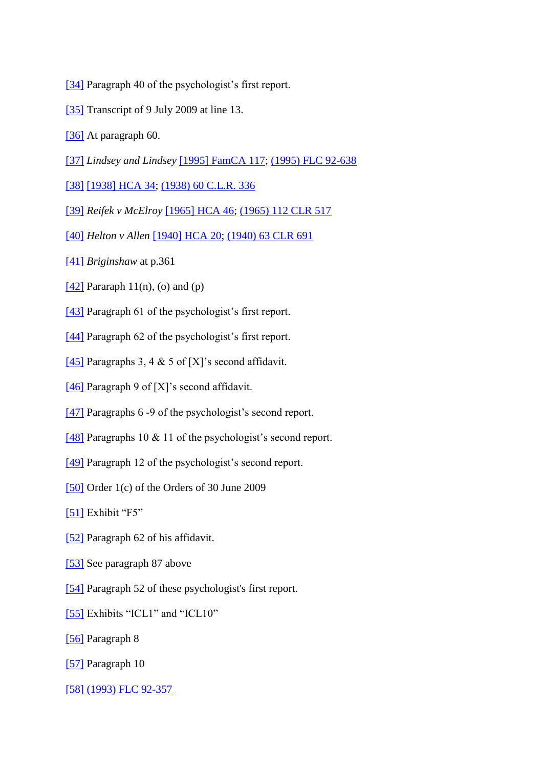- [\[34\]](http://www.austlii.edu.au/cgi-bin/viewdoc/au/cases/cth/FMCAfam/2010/55.html?context=1;query=rivas;mask_path=au/cases/cth/FMCAfam#fnB34) Paragraph 40 of the psychologist's first report.
- [\[35\]](http://www.austlii.edu.au/cgi-bin/viewdoc/au/cases/cth/FMCAfam/2010/55.html?context=1;query=rivas;mask_path=au/cases/cth/FMCAfam#fnB35) Transcript of 9 July 2009 at line 13.
- [\[36\]](http://www.austlii.edu.au/cgi-bin/viewdoc/au/cases/cth/FMCAfam/2010/55.html?context=1;query=rivas;mask_path=au/cases/cth/FMCAfam#fnB36) At paragraph 60.
- [\[37\]](http://www.austlii.edu.au/cgi-bin/viewdoc/au/cases/cth/FMCAfam/2010/55.html?context=1;query=rivas;mask_path=au/cases/cth/FMCAfam#fnB37) *Lindsey and Lindsey* [\[1995\] FamCA 117;](http://www.austlii.edu.au/cgi-bin/viewdoc/au/cases/cth/FamCA/1995/117.html) [\(1995\) FLC 92-638](http://www.austlii.edu.au/cgi-bin/LawCite?cit=%281995%29%20FLC%2092%2d638)
- [\[38\]](http://www.austlii.edu.au/cgi-bin/viewdoc/au/cases/cth/FMCAfam/2010/55.html?context=1;query=rivas;mask_path=au/cases/cth/FMCAfam#fnB38) [\[1938\] HCA 34;](http://www.austlii.edu.au/cgi-bin/viewdoc/au/cases/cth/HCA/1938/34.html) [\(1938\) 60 C.L.R. 336](http://www.austlii.edu.au/cgi-bin/LawCite?cit=%281938%29%2060%20CLR%20336)
- [\[39\]](http://www.austlii.edu.au/cgi-bin/viewdoc/au/cases/cth/FMCAfam/2010/55.html?context=1;query=rivas;mask_path=au/cases/cth/FMCAfam#fnB39) *Reifek v McElroy* [\[1965\] HCA 46;](http://www.austlii.edu.au/cgi-bin/viewdoc/au/cases/cth/HCA/1965/46.html) [\(1965\) 112 CLR 517](http://www.austlii.edu.au/cgi-bin/LawCite?cit=%281965%29%20112%20CLR%20517)
- [\[40\]](http://www.austlii.edu.au/cgi-bin/viewdoc/au/cases/cth/FMCAfam/2010/55.html?context=1;query=rivas;mask_path=au/cases/cth/FMCAfam#fnB40) *Helton v Allen* [\[1940\] HCA 20;](http://www.austlii.edu.au/cgi-bin/viewdoc/au/cases/cth/HCA/1940/20.html) [\(1940\) 63 CLR 691](http://www.austlii.edu.au/cgi-bin/LawCite?cit=%281940%29%2063%20CLR%20691)
- [\[41\]](http://www.austlii.edu.au/cgi-bin/viewdoc/au/cases/cth/FMCAfam/2010/55.html?context=1;query=rivas;mask_path=au/cases/cth/FMCAfam#fnB41) *Briginshaw* at p.361
- [\[42\]](http://www.austlii.edu.au/cgi-bin/viewdoc/au/cases/cth/FMCAfam/2010/55.html?context=1;query=rivas;mask_path=au/cases/cth/FMCAfam#fnB42) Pararaph  $11(n)$ , (o) and (p)
- [\[43\]](http://www.austlii.edu.au/cgi-bin/viewdoc/au/cases/cth/FMCAfam/2010/55.html?context=1;query=rivas;mask_path=au/cases/cth/FMCAfam#fnB43) Paragraph 61 of the psychologist's first report.
- [\[44\]](http://www.austlii.edu.au/cgi-bin/viewdoc/au/cases/cth/FMCAfam/2010/55.html?context=1;query=rivas;mask_path=au/cases/cth/FMCAfam#fnB44) Paragraph 62 of the psychologist's first report.
- [\[45\]](http://www.austlii.edu.au/cgi-bin/viewdoc/au/cases/cth/FMCAfam/2010/55.html?context=1;query=rivas;mask_path=au/cases/cth/FMCAfam#fnB45) Paragraphs 3, 4 & 5 of [X]'s second affidavit.
- [\[46\]](http://www.austlii.edu.au/cgi-bin/viewdoc/au/cases/cth/FMCAfam/2010/55.html?context=1;query=rivas;mask_path=au/cases/cth/FMCAfam#fnB46) Paragraph 9 of [X]'s second affidavit.
- [\[47\]](http://www.austlii.edu.au/cgi-bin/viewdoc/au/cases/cth/FMCAfam/2010/55.html?context=1;query=rivas;mask_path=au/cases/cth/FMCAfam#fnB47) Paragraphs 6 -9 of the psychologist's second report.
- [\[48\]](http://www.austlii.edu.au/cgi-bin/viewdoc/au/cases/cth/FMCAfam/2010/55.html?context=1;query=rivas;mask_path=au/cases/cth/FMCAfam#fnB48) Paragraphs 10 & 11 of the psychologist's second report.
- [\[49\]](http://www.austlii.edu.au/cgi-bin/viewdoc/au/cases/cth/FMCAfam/2010/55.html?context=1;query=rivas;mask_path=au/cases/cth/FMCAfam#fnB49) Paragraph 12 of the psychologist's second report.
- [\[50\]](http://www.austlii.edu.au/cgi-bin/viewdoc/au/cases/cth/FMCAfam/2010/55.html?context=1;query=rivas;mask_path=au/cases/cth/FMCAfam#fnB50) Order 1(c) of the Orders of 30 June 2009
- [\[51\]](http://www.austlii.edu.au/cgi-bin/viewdoc/au/cases/cth/FMCAfam/2010/55.html?context=1;query=rivas;mask_path=au/cases/cth/FMCAfam#fnB51) Exhibit "F5"
- [\[52\]](http://www.austlii.edu.au/cgi-bin/viewdoc/au/cases/cth/FMCAfam/2010/55.html?context=1;query=rivas;mask_path=au/cases/cth/FMCAfam#fnB52) Paragraph 62 of his affidavit.
- [\[53\]](http://www.austlii.edu.au/cgi-bin/viewdoc/au/cases/cth/FMCAfam/2010/55.html?context=1;query=rivas;mask_path=au/cases/cth/FMCAfam#fnB53) See paragraph 87 above
- [\[54\]](http://www.austlii.edu.au/cgi-bin/viewdoc/au/cases/cth/FMCAfam/2010/55.html?context=1;query=rivas;mask_path=au/cases/cth/FMCAfam#fnB54) Paragraph 52 of these psychologist's first report.
- [\[55\]](http://www.austlii.edu.au/cgi-bin/viewdoc/au/cases/cth/FMCAfam/2010/55.html?context=1;query=rivas;mask_path=au/cases/cth/FMCAfam#fnB55) Exhibits "ICL1" and "ICL10"
- [\[56\]](http://www.austlii.edu.au/cgi-bin/viewdoc/au/cases/cth/FMCAfam/2010/55.html?context=1;query=rivas;mask_path=au/cases/cth/FMCAfam#fnB56) Paragraph 8
- [\[57\]](http://www.austlii.edu.au/cgi-bin/viewdoc/au/cases/cth/FMCAfam/2010/55.html?context=1;query=rivas;mask_path=au/cases/cth/FMCAfam#fnB57) Paragraph 10
- [\[58\]](http://www.austlii.edu.au/cgi-bin/viewdoc/au/cases/cth/FMCAfam/2010/55.html?context=1;query=rivas;mask_path=au/cases/cth/FMCAfam#fnB58) [\(1993\) FLC 92-357](http://www.austlii.edu.au/cgi-bin/LawCite?cit=%281993%29%20FLC%2092%2d357)